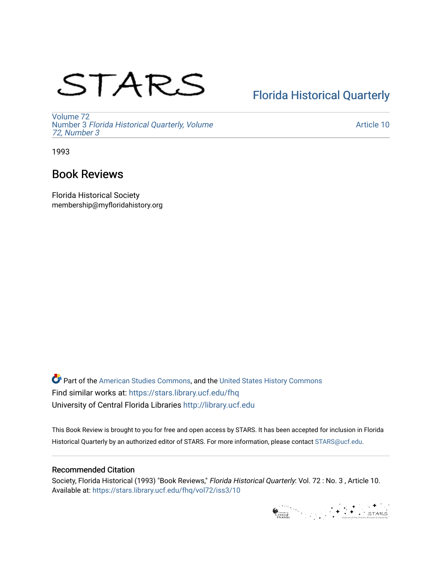# STARS

# [Florida Historical Quarterly](https://stars.library.ucf.edu/fhq)

[Volume 72](https://stars.library.ucf.edu/fhq/vol72) Number 3 [Florida Historical Quarterly, Volume](https://stars.library.ucf.edu/fhq/vol72/iss3)  [72, Number 3](https://stars.library.ucf.edu/fhq/vol72/iss3)

[Article 10](https://stars.library.ucf.edu/fhq/vol72/iss3/10) 

1993

## Book Reviews

Florida Historical Society membership@myfloridahistory.org

**C** Part of the [American Studies Commons](http://network.bepress.com/hgg/discipline/439?utm_source=stars.library.ucf.edu%2Ffhq%2Fvol72%2Fiss3%2F10&utm_medium=PDF&utm_campaign=PDFCoverPages), and the United States History Commons Find similar works at: <https://stars.library.ucf.edu/fhq> University of Central Florida Libraries [http://library.ucf.edu](http://library.ucf.edu/) 

This Book Review is brought to you for free and open access by STARS. It has been accepted for inclusion in Florida Historical Quarterly by an authorized editor of STARS. For more information, please contact [STARS@ucf.edu.](mailto:STARS@ucf.edu)

#### Recommended Citation

Society, Florida Historical (1993) "Book Reviews," Florida Historical Quarterly: Vol. 72 : No. 3 , Article 10. Available at: [https://stars.library.ucf.edu/fhq/vol72/iss3/10](https://stars.library.ucf.edu/fhq/vol72/iss3/10?utm_source=stars.library.ucf.edu%2Ffhq%2Fvol72%2Fiss3%2F10&utm_medium=PDF&utm_campaign=PDFCoverPages)

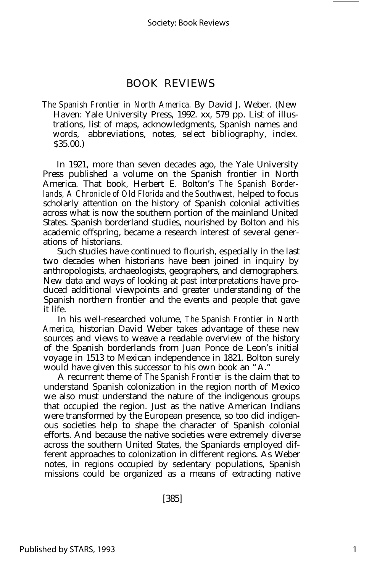*The Spanish Frontier in North America.* By David J. Weber. (New Haven: Yale University Press, 1992. xx, 579 pp. List of illustrations, list of maps, acknowledgments, Spanish names and words, abbreviations, notes, select bibliography, index. \$35.00.)

In 1921, more than seven decades ago, the Yale University Press published a volume on the Spanish frontier in North America. That book, Herbert E. Bolton's *The Spanish Borderlands, A Chronicle of Old Florida and the Southwest,* helped to focus scholarly attention on the history of Spanish colonial activities across what is now the southern portion of the mainland United States. Spanish borderland studies, nourished by Bolton and his academic offspring, became a research interest of several generations of historians.

Such studies have continued to flourish, especially in the last two decades when historians have been joined in inquiry by anthropologists, archaeologists, geographers, and demographers. New data and ways of looking at past interpretations have produced additional viewpoints and greater understanding of the Spanish northern frontier and the events and people that gave it life.

In his well-researched volume, *The Spanish Frontier in North America,* historian David Weber takes advantage of these new sources and views to weave a readable overview of the history of the Spanish borderlands from Juan Ponce de Leon's initial voyage in 1513 to Mexican independence in 1821. Bolton surely would have given this successor to his own book an "A."

A recurrent theme of *The Spanish Frontier* is the claim that to understand Spanish colonization in the region north of Mexico we also must understand the nature of the indigenous groups that occupied the region. Just as the native American Indians were transformed by the European presence, so too did indigenous societies help to shape the character of Spanish colonial efforts. And because the native societies were extremely diverse across the southern United States, the Spaniards employed different approaches to colonization in different regions. As Weber notes, in regions occupied by sedentary populations, Spanish missions could be organized as a means of extracting native

[385]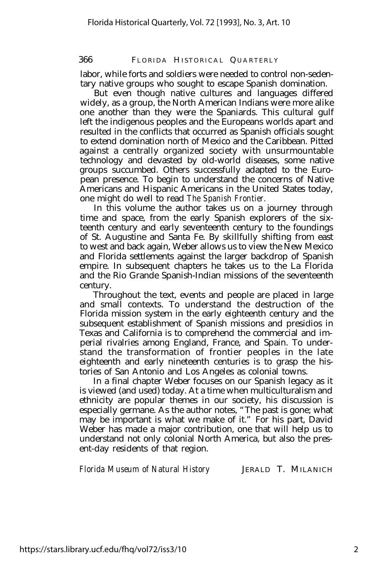labor, while forts and soldiers were needed to control non-sedentary native groups who sought to escape Spanish domination.

But even though native cultures and languages differed widely, as a group, the North American Indians were more alike one another than they were the Spaniards. This cultural gulf left the indigenous peoples and the Europeans worlds apart and resulted in the conflicts that occurred as Spanish officials sought to extend domination north of Mexico and the Caribbean. Pitted against a centrally organized society with unsurmountable technology and devasted by old-world diseases, some native groups succumbed. Others successfully adapted to the European presence. To begin to understand the concerns of Native Americans and Hispanic Americans in the United States today, one might do well to read *The Spanish Frontier.*

In this volume the author takes us on a journey through time and space, from the early Spanish explorers of the sixteenth century and early seventeenth century to the foundings of St. Augustine and Santa Fe. By skillfully shifting from east to west and back again, Weber allows us to view the New Mexico and Florida settlements against the larger backdrop of Spanish empire. In subsequent chapters he takes us to the La Florida and the Rio Grande Spanish-Indian missions of the seventeenth century.

Throughout the text, events and people are placed in large and small contexts. To understand the destruction of the Florida mission system in the early eighteenth century and the subsequent establishment of Spanish missions and presidios in Texas and California is to comprehend the commercial and imperial rivalries among England, France, and Spain. To understand the transformation of frontier peoples in the late eighteenth and early nineteenth centuries is to grasp the histories of San Antonio and Los Angeles as colonial towns.

In a final chapter Weber focuses on our Spanish legacy as it is viewed (and used) today. At a time when multiculturalism and ethnicity are popular themes in our society, his discussion is especially germane. As the author notes, "The past is gone; what may be important is what we make of it." For his part, David Weber has made a major contribution, one that will help us to understand not only colonial North America, but also the present-day residents of that region.

*Florida Museum of Natural History* JERALD T. MILANICH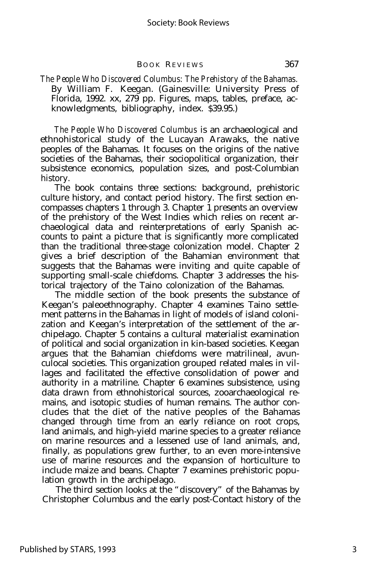*The People Who Discovered Columbus: The Prehistory of the Bahamas.* By William F. Keegan. (Gainesville: University Press of Florida, 1992. xx, 279 pp. Figures, maps, tables, preface, acknowledgments, bibliography, index. \$39.95.)

*The People Who Discovered Columbus* is an archaeological and ethnohistorical study of the Lucayan Arawaks, the native peoples of the Bahamas. It focuses on the origins of the native societies of the Bahamas, their sociopolitical organization, their subsistence economics, population sizes, and post-Columbian history.

The book contains three sections: background, prehistoric culture history, and contact period history. The first section encompasses chapters 1 through 3. Chapter 1 presents an overview of the prehistory of the West Indies which relies on recent archaeological data and reinterpretations of early Spanish accounts to paint a picture that is significantly more complicated than the traditional three-stage colonization model. Chapter 2 gives a brief description of the Bahamian environment that suggests that the Bahamas were inviting and quite capable of supporting small-scale chiefdoms. Chapter 3 addresses the historical trajectory of the Taino colonization of the Bahamas.

The middle section of the book presents the substance of Keegan's paleoethnography. Chapter 4 examines Taino settlement patterns in the Bahamas in light of models of island colonization and Keegan's interpretation of the settlement of the archipelago. Chapter 5 contains a cultural materialist examination of political and social organization in kin-based societies. Keegan argues that the Bahamian chiefdoms were matrilineal, avunculocal societies. This organization grouped related males in villages and facilitated the effective consolidation of power and authority in a matriline. Chapter 6 examines subsistence, using data drawn from ethnohistorical sources, zooarchaeological remains, and isotopic studies of human remains. The author concludes that the diet of the native peoples of the Bahamas changed through time from an early reliance on root crops, land animals, and high-yield marine species to a greater reliance on marine resources and a lessened use of land animals, and, finally, as populations grew further, to an even more-intensive use of marine resources and the expansion of horticulture to include maize and beans. Chapter 7 examines prehistoric population growth in the archipelago.

The third section looks at the "discovery" of the Bahamas by Christopher Columbus and the early post-Contact history of the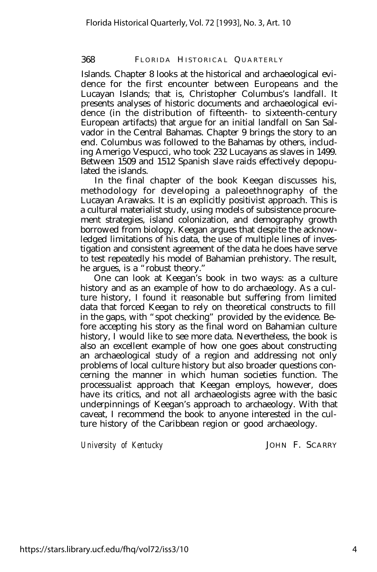Islands. Chapter 8 looks at the historical and archaeological evidence for the first encounter between Europeans and the Lucayan Islands; that is, Christopher Columbus's landfall. It presents analyses of historic documents and archaeological evidence (in the distribution of fifteenth- to sixteenth-century European artifacts) that argue for an initial landfall on San Salvador in the Central Bahamas. Chapter 9 brings the story to an end. Columbus was followed to the Bahamas by others, including Amerigo Vespucci, who took 232 Lucayans as slaves in 1499. Between 1509 and 1512 Spanish slave raids effectively depopulated the islands.

In the final chapter of the book Keegan discusses his, methodology for developing a paleoethnography of the Lucayan Arawaks. It is an explicitly positivist approach. This is a cultural materialist study, using models of subsistence procurement strategies, island colonization, and demography growth borrowed from biology. Keegan argues that despite the acknowledged limitations of his data, the use of multiple lines of investigation and consistent agreement of the data he does have serve to test repeatedly his model of Bahamian prehistory. The result, he argues, is a "robust theory."

One can look at Keegan's book in two ways: as a culture history and as an example of how to do archaeology. As a culture history, I found it reasonable but suffering from limited data that forced Keegan to rely on theoretical constructs to fill in the gaps, with "spot checking" provided by the evidence. Before accepting his story as the final word on Bahamian culture history, I would like to see more data. Nevertheless, the book is also an excellent example of how one goes about constructing an archaeological study of a region and addressing not only problems of local culture history but also broader questions concerning the manner in which human societies function. The processualist approach that Keegan employs, however, does have its critics, and not all archaeologists agree with the basic underpinnings of Keegan's approach to archaeology. With that caveat, I recommend the book to anyone interested in the culture history of the Caribbean region or good archaeology.

*University of Kentucky* JOHN F. SCARRY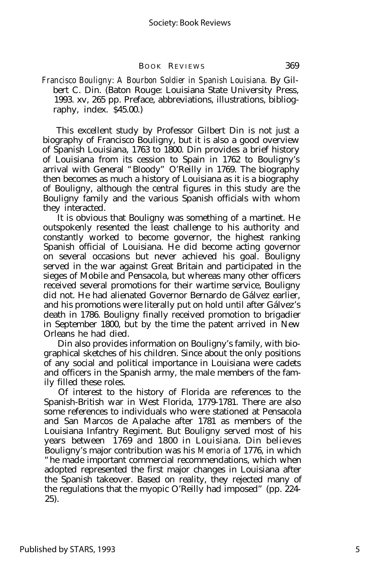*Francisco Bouligny: A Bourbon Soldier in Spanish Louisiana.* By Gilbert C. Din. (Baton Rouge: Louisiana State University Press, 1993. xv, 265 pp. Preface, abbreviations, illustrations, bibliography, index. \$45.00.)

This excellent study by Professor Gilbert Din is not just a biography of Francisco Bouligny, but it is also a good overview of Spanish Louisiana, 1763 to 1800. Din provides a brief history of Louisiana from its cession to Spain in 1762 to Bouligny's arrival with General "Bloody" O'Reilly in 1769. The biography then becomes as much a history of Louisiana as it is a biography of Bouligny, although the central figures in this study are the Bouligny family and the various Spanish officials with whom they interacted.

It is obvious that Bouligny was something of a martinet. He outspokenly resented the least challenge to his authority and constantly worked to become governor, the highest ranking Spanish official of Louisiana. He did become acting governor on several occasions but never achieved his goal. Bouligny served in the war against Great Britain and participated in the sieges of Mobile and Pensacola, but whereas many other officers received several promotions for their wartime service, Bouligny did not. He had alienated Governor Bernardo de Gálvez earlier, and his promotions were literally put on hold until after Gálvez's death in 1786. Bouligny finally received promotion to brigadier in September 1800, but by the time the patent arrived in New Orleans he had died.

Din also provides information on Bouligny's family, with biographical sketches of his children. Since about the only positions of any social and political importance in Louisiana were cadets and officers in the Spanish army, the male members of the family filled these roles.

Of interest to the history of Florida are references to the Spanish-British war in West Florida, 1779-1781. There are also some references to individuals who were stationed at Pensacola and San Marcos de Apalache after 1781 as members of the Louisiana Infantry Regiment. But Bouligny served most of his years between 1769 and 1800 in Louisiana. Din believes Bouligny's major contribution was his *Memoria* of 1776, in which "he made important commercial recommendations, which when adopted represented the first major changes in Louisiana after the Spanish takeover. Based on reality, they rejected many of the regulations that the myopic O'Reilly had imposed" (pp. 224- 25).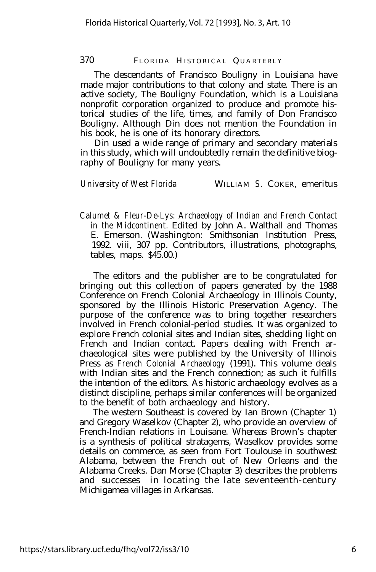The descendants of Francisco Bouligny in Louisiana have made major contributions to that colony and state. There is an active society, The Bouligny Foundation, which is a Louisiana nonprofit corporation organized to produce and promote historical studies of the life, times, and family of Don Francisco Bouligny. Although Din does not mention the Foundation in his book, he is one of its honorary directors.

Din used a wide range of primary and secondary materials in this study, which will undoubtedly remain the definitive biography of Bouligny for many years.

*University of West Florida* WILLIAM *S.* COKER, emeritus

*Calumet & Fleur-De-Lys: Archaeology of Indian and French Contact in the Midcontinent.* Edited by John A. Walthall and Thomas E. Emerson. (Washington: Smithsonian Institution Press, 1992. viii, 307 pp. Contributors, illustrations, photographs, tables, maps.  $$45.00$ .)

The editors and the publisher are to be congratulated for bringing out this collection of papers generated by the 1988 Conference on French Colonial Archaeology in Illinois County, sponsored by the Illinois Historic Preservation Agency. The purpose of the conference was to bring together researchers involved in French colonial-period studies. It was organized to explore French colonial sites and Indian sites, shedding light on French and Indian contact. Papers dealing with French archaeological sites were published by the University of Illinois Press as *French Colonial Archaeology* (1991). This volume deals with Indian sites and the French connection; as such it fulfills the intention of the editors. As historic archaeology evolves as a distinct discipline, perhaps similar conferences will be organized to the benefit of both archaeology and history.

The western Southeast is covered by Ian Brown (Chapter 1) and Gregory Waselkov (Chapter 2), who provide an overview of French-Indian relations in Louisane. Whereas Brown's chapter is a synthesis of political stratagems, Waselkov provides some details on commerce, as seen from Fort Toulouse in southwest Alabama, between the French out of New Orleans and the Alabama Creeks. Dan Morse (Chapter 3) describes the problems and successes in locating the late seventeenth-century Michigamea villages in Arkansas.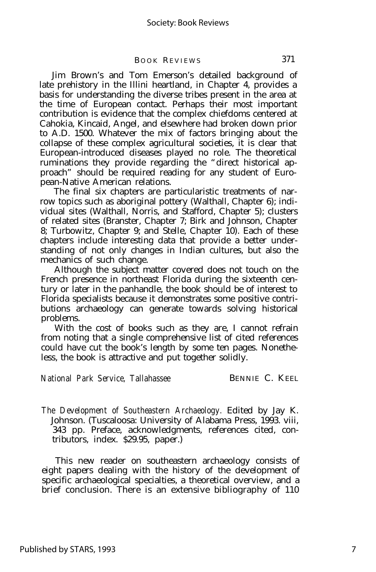Jim Brown's and Tom Emerson's detailed background of late prehistory in the Illini heartland, in Chapter 4, provides a basis for understanding the diverse tribes present in the area at the time of European contact. Perhaps their most important contribution is evidence that the complex chiefdoms centered at Cahokia, Kincaid, Angel, and elsewhere had broken down prior to A.D. 1500. Whatever the mix of factors bringing about the collapse of these complex agricultural societies, it is clear that European-introduced diseases played no role. The theoretical ruminations they provide regarding the "direct historical approach" should be required reading for any student of European-Native American relations.

The final six chapters are particularistic treatments of narrow topics such as aboriginal pottery (Walthall, Chapter 6); individual sites (Walthall, Norris, and Stafford, Chapter 5); clusters of related sites (Branster, Chapter 7; Birk and Johnson, Chapter 8; Turbowitz, Chapter 9; and Stelle, Chapter 10). Each of these chapters include interesting data that provide a better understanding of not only changes in Indian cultures, but also the mechanics of such change.

Although the subject matter covered does not touch on the French presence in northeast Florida during the sixteenth century or later in the panhandle, the book should be of interest to Florida specialists because it demonstrates some positive contributions archaeology can generate towards solving historical problems.

With the cost of books such as they are, I cannot refrain from noting that a single comprehensive list of cited references could have cut the book's length by some ten pages. Nonetheless, the book is attractive and put together solidly.

#### *National Park Service, Tallahassee* BENNIE C. KEEL

*The Development of Southeastern Archaeology.* Edited by Jay K. Johnson. (Tuscaloosa: University of Alabama Press, 1993. viii, 343 pp. Preface, acknowledgments, references cited, contributors, index. \$29.95, paper.)

This new reader on southeastern archaeology consists of eight papers dealing with the history of the development of specific archaeological specialties, a theoretical overview, and a brief conclusion. There is an extensive bibliography of 110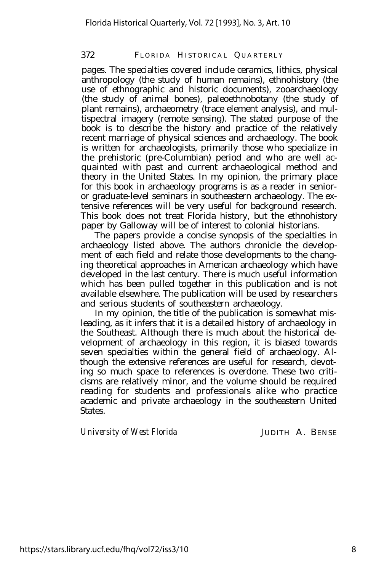pages. The specialties covered include ceramics, lithics, physical anthropology (the study of human remains), ethnohistory (the use of ethnographic and historic documents), zooarchaeology (the study of animal bones), paleoethnobotany (the study of plant remains), archaeometry (trace element analysis), and multispectral imagery (remote sensing). The stated purpose of the book is to describe the history and practice of the relatively recent marriage of physical sciences and archaeology. The book is written for archaeologists, primarily those who specialize in the prehistoric (pre-Columbian) period and who are well acquainted with past and current archaeological method and theory in the United States. In my opinion, the primary place for this book in archaeology programs is as a reader in senioror graduate-level seminars in southeastern archaeology. The extensive references will be very useful for background research. This book does not treat Florida history, but the ethnohistory paper by Galloway will be of interest to colonial historians.

The papers provide a concise synopsis of the specialties in archaeology listed above. The authors chronicle the development of each field and relate those developments to the changing theoretical approaches in American archaeology which have developed in the last century. There is much useful information which has been pulled together in this publication and is not available elsewhere. The publication will be used by researchers and serious students of southeastern archaeology.

In my opinion, the title of the publication is somewhat misleading, as it infers that it is a detailed history of archaeology in the Southeast. Although there is much about the historical development of archaeology in this region, it is biased towards seven specialties within the general field of archaeology. Although the extensive references are useful for research, devoting so much space to references is overdone. These two criticisms are relatively minor, and the volume should be required reading for students and professionals alike who practice academic and private archaeology in the southeastern United States.

*University of West Florida* JUDITH A. BENSE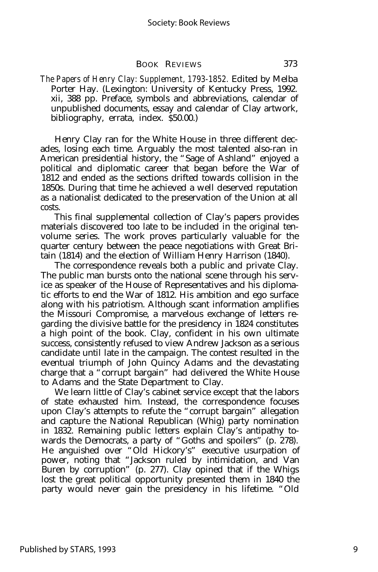*The Papers of Henry Clay: Supplement, 1793-1852.* Edited by Melba Porter Hay. (Lexington: University of Kentucky Press, 1992. xii, 388 pp. Preface, symbols and abbreviations, calendar of unpublished documents, essay and calendar of Clay artwork, bibliography, errata, index. \$50.00.)

Henry Clay ran for the White House in three different decades, losing each time. Arguably the most talented also-ran in American presidential history, the "Sage of Ashland" enjoyed a political and diplomatic career that began before the War of 1812 and ended as the sections drifted towards collision in the 1850s. During that time he achieved a well deserved reputation as a nationalist dedicated to the preservation of the Union at all costs.

This final supplemental collection of Clay's papers provides materials discovered too late to be included in the original tenvolume series. The work proves particularly valuable for the quarter century between the peace negotiations with Great Britain (1814) and the election of William Henry Harrison (1840).

The correspondence reveals both a public and private Clay. The public man bursts onto the national scene through his service as speaker of the House of Representatives and his diplomatic efforts to end the War of 1812. His ambition and ego surface along with his patriotism. Although scant information amplifies the Missouri Compromise, a marvelous exchange of letters regarding the divisive battle for the presidency in 1824 constitutes a high point of the book. Clay, confident in his own ultimate success, consistently refused to view Andrew Jackson as a serious candidate until late in the campaign. The contest resulted in the eventual triumph of John Quincy Adams and the devastating charge that a "corrupt bargain" had delivered the White House to Adams and the State Department to Clay.

We learn little of Clay's cabinet service except that the labors of state exhausted him. Instead, the correspondence focuses upon Clay's attempts to refute the "corrupt bargain" allegation and capture the National Republican (Whig) party nomination in 1832. Remaining public letters explain Clay's antipathy towards the Democrats, a party of "Goths and spoilers" (p. 278). He anguished over "Old Hickory's" executive usurpation of power, noting that "Jackson ruled by intimidation, and Van Buren by corruption" (p. 277). Clay opined that if the Whigs lost the great political opportunity presented them in 1840 the party would never gain the presidency in his lifetime. "Old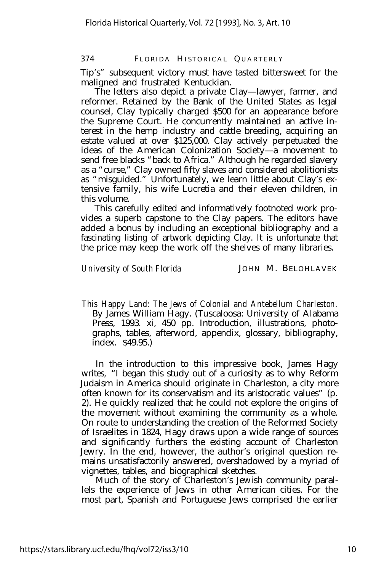Tip's" subsequent victory must have tasted bittersweet for the maligned and frustrated Kentuckian.

The letters also depict a private Clay— lawyer, farmer, and reformer. Retained by the Bank of the United States as legal counsel, Clay typically charged \$500 for an appearance before the Supreme Court. He concurrently maintained an active interest in the hemp industry and cattle breeding, acquiring an estate valued at over \$125,000. Clay actively perpetuated the ideas of the American Colonization Society— a movement to send free blacks "back to Africa." Although he regarded slavery as a "curse," Clay owned fifty slaves and considered abolitionists as "misguided." Unfortunately, we learn little about Clay's extensive family, his wife Lucretia and their eleven children, in this volume.

This carefully edited and informatively footnoted work provides a superb capstone to the Clay papers. The editors have added a bonus by including an exceptional bibliography and a fascinating listing of artwork depicting Clay. It is unfortunate that the price may keep the work off the shelves of many libraries.

*University of South Florida* JOHN M. BELOHLAVEK

*This Happy Land: The Jews of Colonial and Antebellum Charleston.* By James William Hagy. (Tuscaloosa: University of Alabama Press, 1993. xi, 450 pp. Introduction, illustrations, photographs, tables, afterword, appendix, glossary, bibliography, index. \$49.95.)

In the introduction to this impressive book, James Hagy writes, "I began this study out of a curiosity as to why Reform Judaism in America should originate in Charleston, a city more often known for its conservatism and its aristocratic values" (p. 2). He quickly realized that he could not explore the origins of the movement without examining the community as a whole. On route to understanding the creation of the Reformed Society of Israelites in 1824, Hagy draws upon a wide range of sources and significantly furthers the existing account of Charleston Jewry. In the end, however, the author's original question remains unsatisfactorily answered, overshadowed by a myriad of vignettes, tables, and biographical sketches.

Much of the story of Charleston's Jewish community parallels the experience of Jews in other American cities. For the most part, Spanish and Portuguese Jews comprised the earlier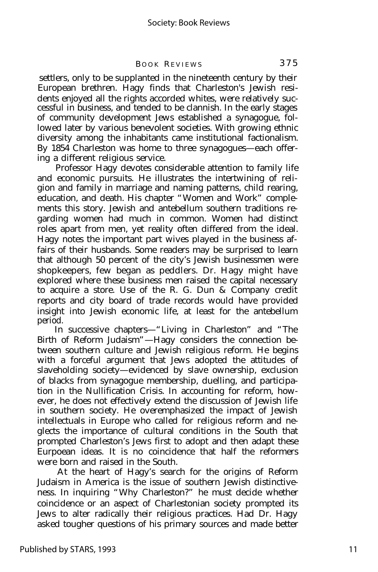settlers, only to be supplanted in the nineteenth century by their European brethren. Hagy finds that Charleston's Jewish residents enjoyed all the rights accorded whites, were relatively successful in business, and tended to be clannish. In the early stages of community development Jews established a synagogue, followed later by various benevolent societies. With growing ethnic diversity among the inhabitants came institutional factionalism. By 1854 Charleston was home to three synagogues— each offering a different religious service.

Professor Hagy devotes considerable attention to family life and economic pursuits. He illustrates the intertwining of religion and family in marriage and naming patterns, child rearing, education, and death. His chapter "Women and Work" complements this story. Jewish and antebellum southern traditions regarding women had much in common. Women had distinct roles apart from men, yet reality often differed from the ideal. Hagy notes the important part wives played in the business affairs of their husbands. Some readers may be surprised to learn that although 50 percent of the city's Jewish businessmen were shopkeepers, few began as peddlers. Dr. Hagy might have explored where these business men raised the capital necessary to acquire a store. Use of the R. G. Dun & Company credit reports and city board of trade records would have provided insight into Jewish economic life, at least for the antebellum period.

In successive chapters— "Living in Charleston" and "The Birth of Reform Judaism"— Hagy considers the connection between southern culture and Jewish religious reform. He begins with a forceful argument that Jews adopted the attitudes of slaveholding society— evidenced by slave ownership, exclusion of blacks from synagogue membership, duelling, and participation in the Nullification Crisis. In accounting for reform, however, he does not effectively extend the discussion of Jewish life in southern society. He overemphasized the impact of Jewish intellectuals in Europe who called for religious reform and neglects the importance of cultural conditions in the South that prompted Charleston's Jews first to adopt and then adapt these Eurpoean ideas. It is no coincidence that half the reformers were born and raised in the South.

At the heart of Hagy's search for the origins of Reform Judaism in America is the issue of southern Jewish distinctiveness. In inquiring "Why Charleston?" he must decide whether coincidence or an aspect of Charlestonian society prompted its Jews to alter radically their religious practices. Had Dr. Hagy asked tougher questions of his primary sources and made better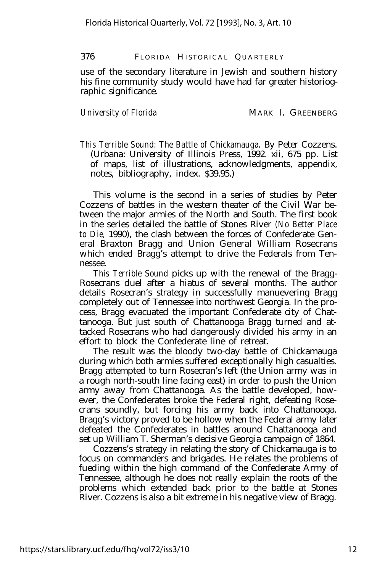use of the secondary literature in Jewish and southern history his fine community study would have had far greater historiographic significance.

*University of Florida* MARK I. GREENBERG

*This Terrible Sound: The Battle of Chickamauga.* By Peter Cozzens. (Urbana: University of Illinois Press, 1992. xii, 675 pp. List of maps, list of illustrations, acknowledgments, appendix, notes, bibliography, index. \$39.95.)

This volume is the second in a series of studies by Peter Cozzens of battles in the western theater of the Civil War between the major armies of the North and South. The first book in the series detailed the battle of Stones River *(No Better Place to Die,* 1990), the clash between the forces of Confederate General Braxton Bragg and Union General William Rosecrans which ended Bragg's attempt to drive the Federals from Tennessee.

*This Terrible Sound* picks up with the renewal of the Bragg-Rosecrans duel after a hiatus of several months. The author details Rosecran's strategy in successfully manuevering Bragg completely out of Tennessee into northwest Georgia. In the process, Bragg evacuated the important Confederate city of Chattanooga. But just south of Chattanooga Bragg turned and attacked Rosecrans who had dangerously divided his army in an effort to block the Confederate line of retreat.

The result was the bloody two-day battle of Chickamauga during which both armies suffered exceptionally high casualties. Bragg attempted to turn Rosecran's left (the Union army was in a rough north-south line facing east) in order to push the Union army away from Chattanooga. As the battle developed, however, the Confederates broke the Federal right, defeating Rosecrans soundly, but forcing his army back into Chattanooga. Bragg's victory proved to be hollow when the Federal army later defeated the Confederates in battles around Chattanooga and set up William T. Sherman's decisive Georgia campaign of 1864.

Cozzens's strategy in relating the story of Chickamauga is to focus on commanders and brigades. He relates the problems of fueding within the high command of the Confederate Army of Tennessee, although he does not really explain the roots of the problems which extended back prior to the battle at Stones River. Cozzens is also a bit extreme in his negative view of Bragg.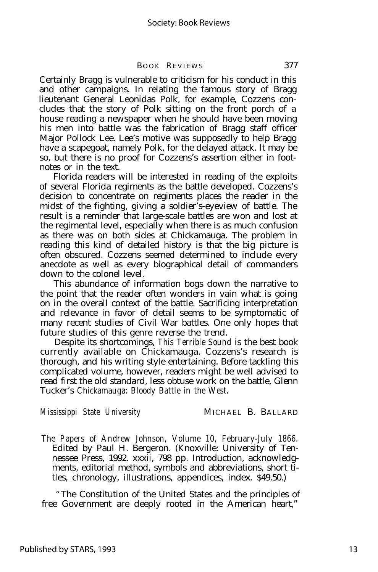Certainly Bragg is vulnerable to criticism for his conduct in this and other campaigns. In relating the famous story of Bragg lieutenant General Leonidas Polk, for example, Cozzens concludes that the story of Polk sitting on the front porch of a house reading a newspaper when he should have been moving his men into battle was the fabrication of Bragg staff officer Major Pollock Lee. Lee's motive was supposedly to help Bragg have a scapegoat, namely Polk, for the delayed attack. It may be so, but there is no proof for Cozzens's assertion either in footnotes or in the text.

Florida readers will be interested in reading of the exploits of several Florida regiments as the battle developed. Cozzens's decision to concentrate on regiments places the reader in the midst of the fighting, giving a soldier's-eyeview of battle. The result is a reminder that large-scale battles are won and lost at the regimental level, especially when there is as much confusion as there was on both sides at Chickamauga. The problem in reading this kind of detailed history is that the big picture is often obscured. Cozzens seemed determined to include every anecdote as well as every biographical detail of commanders down to the colonel level.

This abundance of information bogs down the narrative to the point that the reader often wonders in vain what is going on in the overall context of the battle. Sacrificing interpretation and relevance in favor of detail seems to be symptomatic of many recent studies of Civil War battles. One only hopes that future studies of this genre reverse the trend.

Despite its shortcomings, *This Terrible Sound* is the best book currently available on Chickamauga. Cozzens's research is thorough, and his writing style entertaining. Before tackling this complicated volume, however, readers might be well advised to read first the old standard, less obtuse work on the battle, Glenn Tucker's *Chickamauga: Bloody Battle in the West.*

*Mississippi State University* MICHAEL B. BALLARD

*The Papers of Andrew Johnson, Volume 10, February-July 1866.* Edited by Paul H. Bergeron. (Knoxville: University of Tennessee Press, 1992. xxxii, 798 pp. Introduction, acknowledgments, editorial method, symbols and abbreviations, short titles, chronology, illustrations, appendices, index. \$49.50.)

"The Constitution of the United States and the principles of free Government are deeply rooted in the American heart,"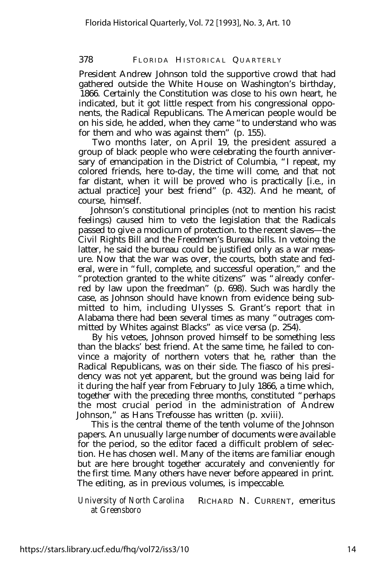President Andrew Johnson told the supportive crowd that had gathered outside the White House on Washington's birthday, 1866. Certainly the Constitution was close to his own heart, he indicated, but it got little respect from his congressional opponents, the Radical Republicans. The American people would be on his side, he added, when they came "to understand who was for them and who was against them" (p. 155).

Two months later, on April 19, the president assured a group of black people who were celebrating the fourth anniversary of emancipation in the District of Columbia, "I repeat, my colored friends, here to-day, the time will come, and that not far distant, when it will be proved who is practically [i.e., in actual practice] your best friend" (p. 432). And he meant, of course, himself.

Johnson's constitutional principles (not to mention his racist feelings) caused him to veto the legislation that the Radicals passed to give a modicum of protection. to the recent slaves— the Civil Rights Bill and the Freedmen's Bureau bills. In vetoing the latter, he said the bureau could be justified only as a war measure. Now that the war was over, the courts, both state and federal, were in "full, complete, and successful operation," and the "protection granted to the white citizens" was "already conferred by law upon the freedman" (p. 698). Such was hardly the case, as Johnson should have known from evidence being submitted to him, including Ulysses S. Grant's report that in Alabama there had been several times as many "outrages committed by Whites against Blacks" as vice versa (p. 254).

By his vetoes, Johnson proved himself to be something less than the blacks' best friend. At the same time, he failed to convince a majority of northern voters that he, rather than the Radical Republicans, was on their side. The fiasco of his presidency was not yet apparent, but the ground was being laid for it during the half year from February to July 1866, a time which, together with the preceding three months, constituted "perhaps the most crucial period in the administration of Andrew Johnson," as Hans Trefousse has written (p. xviii).

This is the central theme of the tenth volume of the Johnson papers. An unusually large number of documents were available for the period, so the editor faced a difficult problem of selection. He has chosen well. Many of the items are familiar enough but are here brought together accurately and conveniently for the first time. Many others have never before appeared in print. The editing, as in previous volumes, is impeccable.

*University of North Carolina* RICHARD N. CURRENT, emeritus *at Greensboro*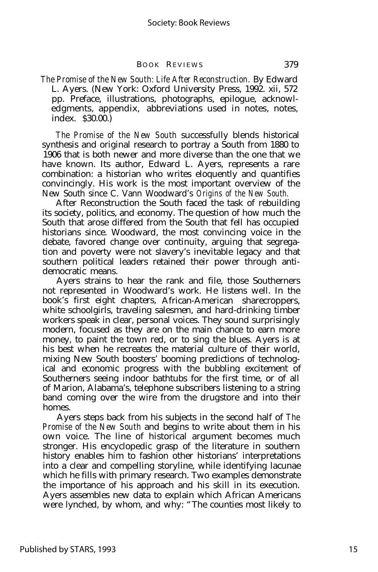*The Promise of the New South: Life After Reconstruction.* By Edward L. Ayers. (New York: Oxford University Press, 1992. xii, 572 pp. Preface, illustrations, photographs, epilogue, acknowledgments, appendix, abbreviations used in notes, notes, index. \$30.00.)

*The Promise of the New South* successfully blends historical synthesis and original research to portray a South from 1880 to 1906 that is both newer and more diverse than the one that we have known. Its author, Edward L. Ayers, represents a rare combination: a historian who writes eloquently and quantifies convincingly. His work is the most important overview of the New South since C. Vann Woodward's *Origins of the New South.*

After Reconstruction the South faced the task of rebuilding its society, politics, and economy. The question of how much the South that arose differed from the South that fell has occupied historians since. Woodward, the most convincing voice in the debate, favored change over continuity, arguing that segregation and poverty were not slavery's inevitable legacy and that southern political leaders retained their power through antidemocratic means.

Ayers strains to hear the rank and file, those Southerners not represented in Woodward's work. He listens well. In the book's first eight chapters, African-American sharecroppers, white schoolgirls, traveling salesmen, and hard-drinking timber workers speak in clear, personal voices. They sound surprisingly modern, focused as they are on the main chance to earn more money, to paint the town red, or to sing the blues. Ayers is at his best when he recreates the material culture of their world, mixing New South boosters' booming predictions of technological and economic progress with the bubbling excitement of Southerners seeing indoor bathtubs for the first time, or of all of Marion, Alabama's, telephone subscribers listening to a string band coming over the wire from the drugstore and into their homes.

Ayers steps back from his subjects in the second half of *The Promise of the New South* and begins to write about them in his own voice. The line of historical argument becomes much stronger. His encyclopedic grasp of the literature in southern history enables him to fashion other historians' interpretations into a clear and compelling storyline, while identifying lacunae which he fills with primary research. Two examples demonstrate the importance of his approach and his skill in its execution. Ayers assembles new data to explain which African Americans were lynched, by whom, and why: "The counties most likely to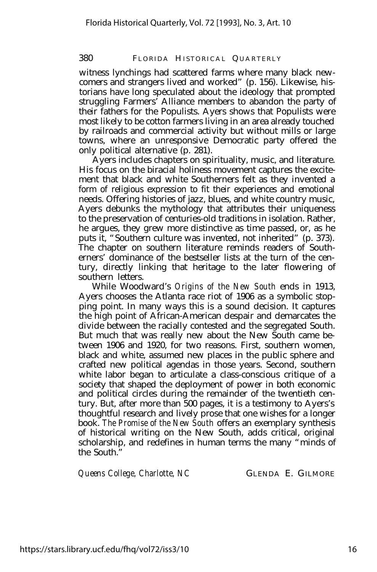witness lynchings had scattered farms where many black newcomers and strangers lived and worked" (p. 156). Likewise, historians have long speculated about the ideology that prompted struggling Farmers' Alliance members to abandon the party of their fathers for the Populists. Ayers shows that Populists were most likely to be cotton farmers living in an area already touched by railroads and commercial activity but without mills or large towns, where an unresponsive Democratic party offered the only political alternative (p. 281).

Ayers includes chapters on spirituality, music, and literature. His focus on the biracial holiness movement captures the excitement that black and white Southerners felt as they invented a form of religious expression to fit their experiences and emotional needs. Offering histories of jazz, blues, and white country music, Ayers debunks the mythology that attributes their uniqueness to the preservation of centuries-old traditions in isolation. Rather, he argues, they grew more distinctive as time passed, or, as he puts it, "Southern culture was invented, not inherited" (p. 373). The chapter on southern literature reminds readers of Southerners' dominance of the bestseller lists at the turn of the century, directly linking that heritage to the later flowering of southern letters.

While Woodward's *Origins of the New South* ends in 1913, Ayers chooses the Atlanta race riot of 1906 as a symbolic stopping point. In many ways this is a sound decision. It captures the high point of African-American despair and demarcates the divide between the racially contested and the segregated South. But much that was really new about the New South came between 1906 and 1920, for two reasons. First, southern women, black and white, assumed new places in the public sphere and crafted new political agendas in those years. Second, southern white labor began to articulate a class-conscious critique of a society that shaped the deployment of power in both economic and political circles during the remainder of the twentieth century. But, after more than 500 pages, it is a testimony to Ayers's thoughtful research and lively prose that one wishes for a longer book. *The Promise of the New South* offers an exemplary synthesis of historical writing on the New South, adds critical, original scholarship, and redefines in human terms the many "minds of the South."

*Queens College, Charlotte, NC* GLENDA E. GILMORE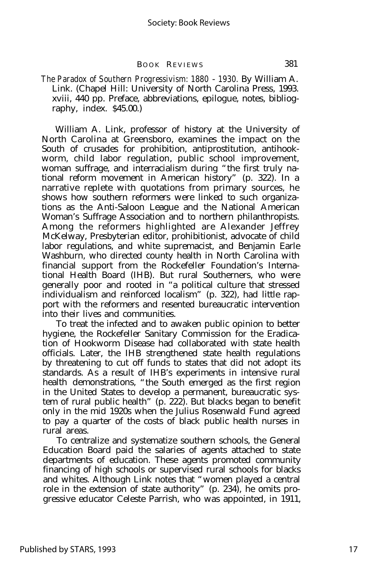*The Paradox of Southern Progressivism: 1880* - *1930.* By William A. Link. (Chapel Hill: University of North Carolina Press, 1993. xviii, 440 pp. Preface, abbreviations, epilogue, notes, bibliography, index. \$45.00.)

William A. Link, professor of history at the University of North Carolina at Greensboro, examines the impact on the South of crusades for prohibition, antiprostitution, antihookworm, child labor regulation, public school improvement, woman suffrage, and interracialism during "the first truly national reform movement in American history" (p. 322). In a narrative replete with quotations from primary sources, he shows how southern reformers were linked to such organizations as the Anti-Saloon League and the National American Woman's Suffrage Association and to northern philanthropists. Among the reformers highlighted are Alexander Jeffrey McKelway, Presbyterian editor, prohibitionist, advocate of child labor regulations, and white supremacist, and Benjamin Earle Washburn, who directed county health in North Carolina with financial support from the Rockefeller Foundation's International Health Board (IHB). But rural Southerners, who were generally poor and rooted in "a political culture that stressed individualism and reinforced localism" (p. 322), had little rapport with the reformers and resented bureaucratic intervention into their lives and communities.

To treat the infected and to awaken public opinion to better hygiene, the Rockefeller Sanitary Commission for the Eradication of Hookworm Disease had collaborated with state health officials. Later, the IHB strengthened state health regulations by threatening to cut off funds to states that did not adopt its standards. As a result of IHB's experiments in intensive rural health demonstrations, "the South emerged as the first region in the United States to develop a permanent, bureaucratic system of rural public health" (p. 222). But blacks began to benefit only in the mid 1920s when the Julius Rosenwald Fund agreed to pay a quarter of the costs of black public health nurses in rural areas.

To centralize and systematize southern schools, the General Education Board paid the salaries of agents attached to state departments of education. These agents promoted community financing of high schools or supervised rural schools for blacks and whites. Although Link notes that "women played a central role in the extension of state authority" (p. 234), he omits progressive educator Celeste Parrish, who was appointed, in 1911,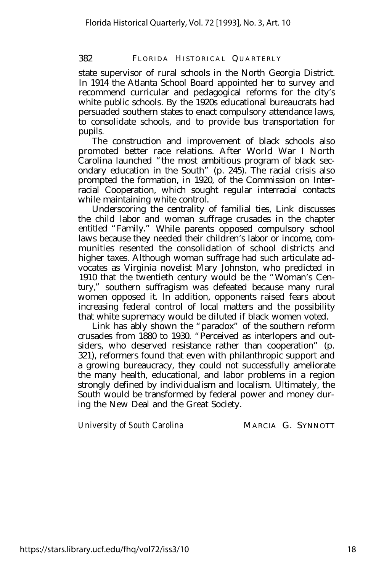state supervisor of rural schools in the North Georgia District. In 1914 the Atlanta School Board appointed her to survey and recommend curricular and pedagogical reforms for the city's white public schools. By the 1920s educational bureaucrats had persuaded southern states to enact compulsory attendance laws, to consolidate schools, and to provide bus transportation for pupils.

The construction and improvement of black schools also promoted better race relations. After World War I North Carolina launched "the most ambitious program of black secondary education in the South" (p. 245). The racial crisis also prompted the formation, in 1920, of the Commission on Interracial Cooperation, which sought regular interracial contacts while maintaining white control.

Underscoring the centrality of familial ties, Link discusses the child labor and woman suffrage crusades in the chapter entitled "Family." While parents opposed compulsory school laws because they needed their children's labor or income, communities resented the consolidation of school districts and higher taxes. Although woman suffrage had such articulate advocates as Virginia novelist Mary Johnston, who predicted in 1910 that the twentieth century would be the "Woman's Century," southern suffragism was defeated because many rural women opposed it. In addition, opponents raised fears about increasing federal control of local matters and the possibility that white supremacy would be diluted if black women voted.

Link has ably shown the "paradox" of the southern reform crusades from 1880 to 1930. "Perceived as interlopers and outsiders, who deserved resistance rather than cooperation" (p. 321), reformers found that even with philanthropic support and a growing bureaucracy, they could not successfully ameliorate the many health, educational, and labor problems in a region strongly defined by individualism and localism. Ultimately, the South would be transformed by federal power and money during the New Deal and the Great Society.

*University of South Carolina* MARCIA G. SYNNOTT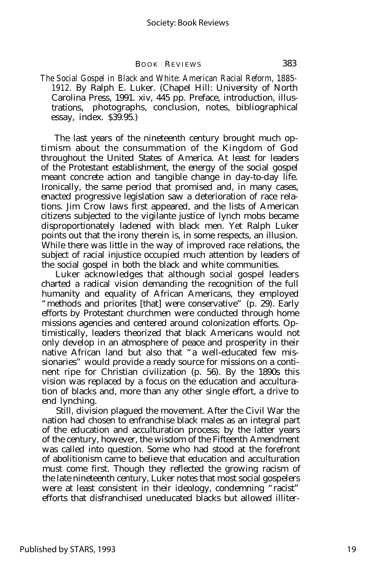*The Social Gospel in Black and White: American Racial Reform, 1885- 1912.* By Ralph E. Luker. (Chapel Hill: University of North Carolina Press, 1991. xiv, 445 pp. Preface, introduction, illustrations, photographs, conclusion, notes, bibliographical essay, index. \$39.95.)

The last years of the nineteenth century brought much optimism about the consummation of the Kingdom of God throughout the United States of America. At least for leaders of the Protestant establishment, the energy of the social gospel meant concrete action and tangible change in day-to-day life. Ironically, the same period that promised and, in many cases, enacted progressive legislation saw a deterioration of race relations. Jim Crow laws first appeared, and the lists of American citizens subjected to the vigilante justice of lynch mobs became disproportionately ladened with black men. Yet Ralph Luker points out that the irony therein is, in some respects, an illusion. While there was little in the way of improved race relations, the subject of racial injustice occupied much attention by leaders of the social gospel in both the black and white communities.

Luker acknowledges that although social gospel leaders charted a radical vision demanding the recognition of the full humanity and equality of African Americans, they employed "methods and priorites [that] were conservative" (p. 29). Early efforts by Protestant churchmen were conducted through home missions agencies and centered around colonization efforts. Optimistically, leaders theorized that black Americans would not only develop in an atmosphere of peace and prosperity in their native African land but also that "a well-educated few missionaries" would provide a ready source for missions on a continent ripe for Christian civilization (p. 56). By the 1890s this vision was replaced by a focus on the education and acculturation of blacks and, more than any other single effort, a drive to end lynching.

Still, division plagued the movement. After the Civil War the nation had chosen to enfranchise black males as an integral part of the education and acculturation process; by the latter years of the century, however, the wisdom of the Fifteenth Amendment was called into question. Some who had stood at the forefront of abolitionism came to believe that education and acculturation must come first. Though they reflected the growing racism of the late nineteenth century, Luker notes that most social gospelers were at least consistent in their ideology, condemning "racist" efforts that disfranchised uneducated blacks but allowed illiter-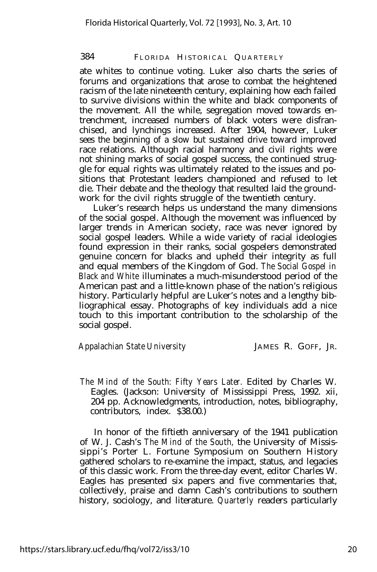ate whites to continue voting. Luker also charts the series of forums and organizations that arose to combat the heightened racism of the late nineteenth century, explaining how each failed to survive divisions within the white and black components of the movement. All the while, segregation moved towards entrenchment, increased numbers of black voters were disfranchised, and lynchings increased. After 1904, however, Luker sees the beginning of a slow but sustained drive toward improved race relations. Although racial harmony and civil rights were not shining marks of social gospel success, the continued struggle for equal rights was ultimately related to the issues and positions that Protestant leaders championed and refused to let die. Their debate and the theology that resulted laid the groundwork for the civil rights struggle of the twentieth century.

Luker's research helps us understand the many dimensions of the social gospel. Although the movement was influenced by larger trends in American society, race was never ignored by social gospel leaders. While a wide variety of racial ideologies found expression in their ranks, social gospelers demonstrated genuine concern for blacks and upheld their integrity as full and equal members of the Kingdom of God. *The Social Gospel in Black and White* illuminates a much-misunderstood period of the American past and a little-known phase of the nation's religious history. Particularly helpful are Luker's notes and a lengthy bibliographical essay. Photographs of key individuals add a nice touch to this important contribution to the scholarship of the social gospel.

#### *Appalachian State University* JAMES R. GOFF, JR.

*The Mind of the South: Fifty Years Later.* Edited by Charles W. Eagles. (Jackson: University of Mississippi Press, 1992. xii, 204 pp. Acknowledgments, introduction, notes, bibliography, contributors, index. \$38.00.)

In honor of the fiftieth anniversary of the 1941 publication of W. J. Cash's *The Mind of the South,* the University of Mississippi's Porter L. Fortune Symposium on Southern History gathered scholars to re-examine the impact, status, and legacies of this classic work. From the three-day event, editor Charles W. Eagles has presented six papers and five commentaries that, collectively, praise and damn Cash's contributions to southern history, sociology, and literature. *Quarterly* readers particularly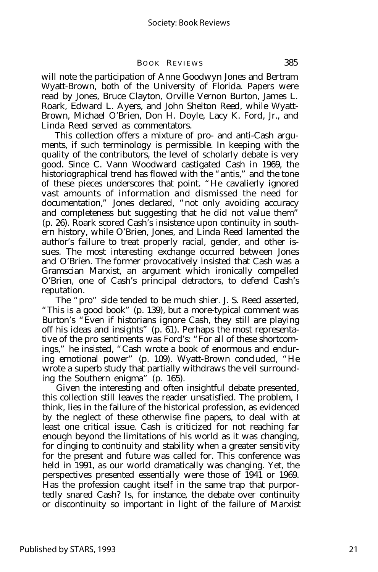will note the participation of Anne Goodwyn Jones and Bertram Wyatt-Brown, both of the University of Florida. Papers were read by Jones, Bruce Clayton, Orville Vernon Burton, James L. Roark, Edward L. Ayers, and John Shelton Reed, while Wyatt-Brown, Michael O'Brien, Don H. Doyle, Lacy K. Ford, Jr., and Linda Reed served as commentators.

This collection offers a mixture of pro- and anti-Cash arguments, if such terminology is permissible. In keeping with the quality of the contributors, the level of scholarly debate is very good. Since C. Vann Woodward castigated Cash in 1969, the historiographical trend has flowed with the "antis," and the tone of these pieces underscores that point. "He cavalierly ignored vast amounts of information and dismissed the need for documentation," Jones declared, "not only avoiding accuracy and completeness but suggesting that he did not value them" (p. 26). Roark scored Cash's insistence upon continuity in southern history, while O'Brien, Jones, and Linda Reed lamented the author's failure to treat properly racial, gender, and other issues. The most interesting exchange occurred between Jones and O'Brien. The former provocatively insisted that Cash was a Gramscian Marxist, an argument which ironically compelled O'Brien, one of Cash's principal detractors, to defend Cash's reputation.

The "pro" side tended to be much shier. J. S. Reed asserted, "This is a good book" (p. 139), but a more-typical comment was Burton's "Even if historians ignore Cash, they still are playing off his ideas and insights" (p. 61). Perhaps the most representative of the pro sentiments was Ford's: "For all of these shortcomings," he insisted, "Cash wrote a book of enormous and enduring emotional power" (p. 109). Wyatt-Brown concluded, "He wrote a superb study that partially withdraws the veil surrounding the Southern enigma" (p. 165).

Given the interesting and often insightful debate presented, this collection still leaves the reader unsatisfied. The problem, I think, lies in the failure of the historical profession, as evidenced by the neglect of these otherwise fine papers, to deal with at least one critical issue. Cash is criticized for not reaching far enough beyond the limitations of his world as it was changing, for clinging to continuity and stability when a greater sensitivity for the present and future was called for. This conference was held in 1991, as our world dramatically was changing. Yet, the perspectives presented essentially were those of 1941 or 1969. Has the profession caught itself in the same trap that purportedly snared Cash? Is, for instance, the debate over continuity or discontinuity so important in light of the failure of Marxist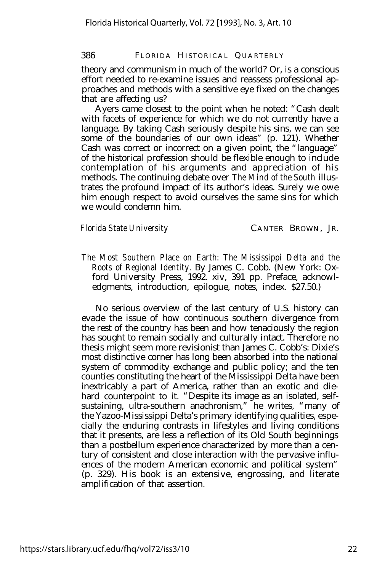theory and communism in much of the world? Or, is a conscious effort needed to re-examine issues and reassess professional approaches and methods with a sensitive eye fixed on the changes that are affecting us?

Ayers came closest to the point when he noted: "Cash dealt with facets of experience for which we do not currently have a language. By taking Cash seriously despite his sins, we can see some of the boundaries of our own ideas" (p. 121). Whether Cash was correct or incorrect on a given point, the "language" of the historical profession should be flexible enough to include contemplation of his arguments and appreciation of his methods. The continuing debate over *The Mind of the South* illustrates the profound impact of its author's ideas. Surely we owe him enough respect to avoid ourselves the same sins for which we would condemn him.

*Florida State University* CANTER BROWN, JR.

*The Most Southern Place on Earth: The Mississippi Delta and the Roots of Regional Identity.* By James C. Cobb. (New York: Oxford University Press, 1992. xiv, 391 pp. Preface, acknowledgments, introduction, epilogue, notes, index. \$27.50.)

No serious overview of the last century of U.S. history can evade the issue of how continuous southern divergence from the rest of the country has been and how tenaciously the region has sought to remain socially and culturally intact. Therefore no thesis might seem more revisionist than James C. Cobb's: Dixie's most distinctive corner has long been absorbed into the national system of commodity exchange and public policy; and the ten counties constituting the heart of the Mississippi Delta have been inextricably a part of America, rather than an exotic and diehard counterpoint to it. "Despite its image as an isolated, selfsustaining, ultra-southern anachronism," he writes, "many of the Yazoo-Mississippi Delta's primary identifying qualities, especially the enduring contrasts in lifestyles and living conditions that it presents, are less a reflection of its Old South beginnings than a postbellum experience characterized by more than a century of consistent and close interaction with the pervasive influences of the modern American economic and political system" (p. 329). His book is an extensive, engrossing, and literate amplification of that assertion.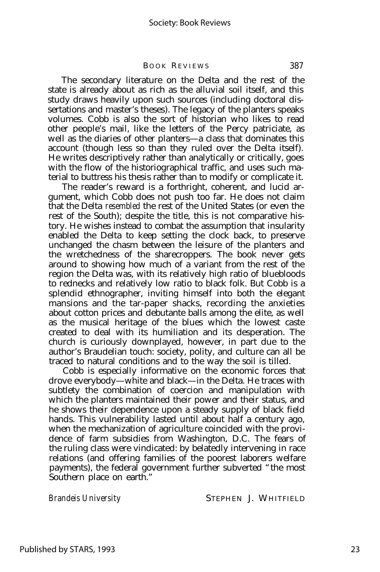The secondary literature on the Delta and the rest of the state is already about as rich as the alluvial soil itself, and this study draws heavily upon such sources (including doctoral dissertations and master's theses). The legacy of the planters speaks volumes. Cobb is also the sort of historian who likes to read other people's mail, like the letters of the Percy patriciate, as well as the diaries of other planters— a class that dominates this account (though less so than they ruled over the Delta itself). He writes descriptively rather than analytically or critically, goes with the flow of the historiographical traffic, and uses such material to buttress his thesis rather than to modify or complicate it.

The reader's reward is a forthright, coherent, and lucid argument, which Cobb does not push too far. He does not claim that the Delta *resembled* the rest of the United States (or even the rest of the South); despite the title, this is not comparative history. He wishes instead to combat the assumption that insularity enabled the Delta to keep setting the clock back, to preserve unchanged the chasm between the leisure of the planters and the wretchedness of the sharecroppers. The book never gets around to showing how much of a variant from the rest of the region the Delta was, with its relatively high ratio of bluebloods to rednecks and relatively low ratio to black folk. But Cobb is a splendid ethnographer, inviting himself into both the elegant mansions and the tar-paper shacks, recording the anxieties about cotton prices and debutante balls among the elite, as well as the musical heritage of the blues which the lowest caste created to deal with its humiliation and its desperation. The church is curiously downplayed, however, in part due to the author's Braudelian touch: society, polity, and culture can all be traced to natural conditions and to the way the soil is tilled.

Cobb is especially informative on the economic forces that drove everybody— white and black— in the Delta. He traces with subtlety the combination of coercion and manipulation with which the planters maintained their power and their status, and he shows their dependence upon a steady supply of black field hands. This vulnerability lasted until about half a century ago, when the mechanization of agriculture coincided with the providence of farm subsidies from Washington, D.C. The fears of the ruling class were vindicated: by belatedly intervening in race relations (and offering families of the poorest laborers welfare payments), the federal government further subverted "the most Southern place on earth."

*Brandeis University* STEPHEN J. WHITFIELD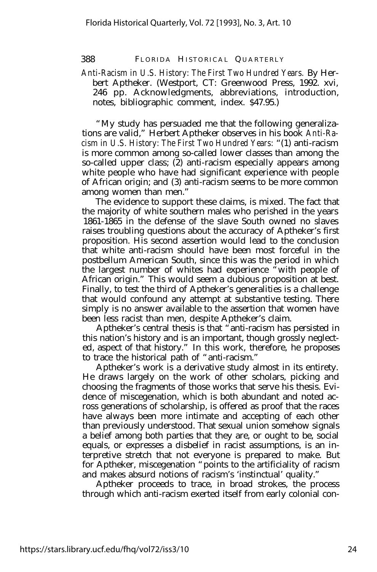*Anti-Racism in U.S. History: The First Two Hundred Years.* By Herbert Aptheker. (Westport, CT: Greenwood Press, 1992. xvi, 246 pp. Acknowledgments, abbreviations, introduction, notes, bibliographic comment, index. \$47.95.)

"My study has persuaded me that the following generalizations are valid," Herbert Aptheker observes in his book *Anti-Racism in U.S. History: The First Two Hundred Years:* "(1) anti-racism is more common among so-called lower classes than among the so-called upper class; (2) anti-racism especially appears among white people who have had significant experience with people of African origin; and (3) anti-racism seems to be more common among women than men."

The evidence to support these claims, is mixed. The fact that the majority of white southern males who perished in the years 1861-1865 in the defense of the slave South owned no slaves raises troubling questions about the accuracy of Aptheker's first proposition. His second assertion would lead to the conclusion that white anti-racism should have been most forceful in the postbellum American South, since this was the period in which the largest number of whites had experience "with people of African origin." This would seem a dubious proposition at best. Finally, to test the third of Aptheker's generalities is a challenge that would confound any attempt at substantive testing. There simply is no answer available to the assertion that women have been less racist than men, despite Aptheker's claim.

Aptheker's central thesis is that "anti-racism has persisted in this nation's history and is an important, though grossly neglected, aspect of that history." In this work, therefore, he proposes to trace the historical path of "anti-racism."

Aptheker's work is a derivative study almost in its entirety. He draws largely on the work of other scholars, picking and choosing the fragments of those works that serve his thesis. Evidence of miscegenation, which is both abundant and noted across generations of scholarship, is offered as proof that the races have always been more intimate and accepting of each other than previously understood. That sexual union somehow signals a belief among both parties that they are, or ought to be, social equals, or expresses a disbelief in racist assumptions, is an interpretive stretch that not everyone is prepared to make. But for Aptheker, miscegenation "points to the artificiality of racism and makes absurd notions of racism's 'instinctual' quality."

Aptheker proceeds to trace, in broad strokes, the process through which anti-racism exerted itself from early colonial con-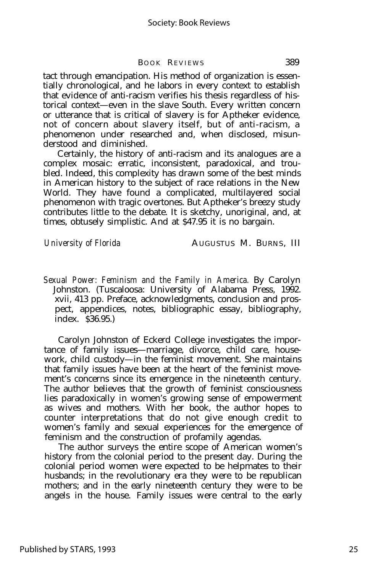tact through emancipation. His method of organization is essentially chronological, and he labors in every context to establish that evidence of anti-racism verifies his thesis regardless of historical context— even in the slave South. Every written concern or utterance that is critical of slavery is for Aptheker evidence, not of concern about slavery itself, but of anti-racism, a phenomenon under researched and, when disclosed, misunderstood and diminished.

Certainly, the history of anti-racism and its analogues are a complex mosaic: erratic, inconsistent, paradoxical, and troubled. Indeed, this complexity has drawn some of the best minds in American history to the subject of race relations in the New World. They have found a complicated, multilayered social phenomenon with tragic overtones. But Aptheker's breezy study contributes little to the debate. It is sketchy, unoriginal, and, at times, obtusely simplistic. And at \$47.95 it is no bargain.

*University of Florida* AUGUSTUS M. BURNS, III

*Sexual Power: Feminism and the Family in America.* By Carolyn Johnston. (Tuscaloosa: University of Alabama Press, 1992. xvii, 413 pp. Preface, acknowledgments, conclusion and prospect, appendices, notes, bibliographic essay, bibliography, index. \$36.95.)

Carolyn Johnston of Eckerd College investigates the importance of family issues— marriage, divorce, child care, housework, child custody— in the feminist movement. She maintains that family issues have been at the heart of the feminist movement's concerns since its emergence in the nineteenth century. The author believes that the growth of feminist consciousness lies paradoxically in women's growing sense of empowerment as wives and mothers. With her book, the author hopes to counter interpretations that do not give enough credit to women's family and sexual experiences for the emergence of feminism and the construction of profamily agendas.

The author surveys the entire scope of American women's history from the colonial period to the present day. During the colonial period women were expected to be helpmates to their husbands; in the revolutionary era they were to be republican mothers; and in the early nineteenth century they were to be angels in the house. Family issues were central to the early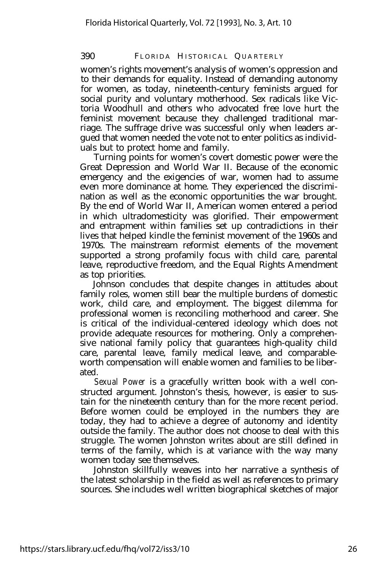women's rights movement's analysis of women's oppression and to their demands for equality. Instead of demanding autonomy for women, as today, nineteenth-century feminists argued for social purity and voluntary motherhood. Sex radicals like Victoria Woodhull and others who advocated free love hurt the feminist movement because they challenged traditional marriage. The suffrage drive was successful only when leaders argued that women needed the vote not to enter politics as individuals but to protect home and family.

Turning points for women's covert domestic power were the Great Depression and World War II. Because of the economic emergency and the exigencies of war, women had to assume even more dominance at home. They experienced the discrimination as well as the economic opportunities the war brought. By the end of World War II, American women entered a period in which ultradomesticity was glorified. Their empowerment and entrapment within families set up contradictions in their lives that helped kindle the feminist movement of the 1960s and 1970s. The mainstream reformist elements of the movement supported a strong profamily focus with child care, parental leave, reproductive freedom, and the Equal Rights Amendment as top priorities.

Johnson concludes that despite changes in attitudes about family roles, women still bear the multiple burdens of domestic work, child care, and employment. The biggest dilemma for professional women is reconciling motherhood and career. She is critical of the individual-centered ideology which does not provide adequate resources for mothering. Only a comprehensive national family policy that guarantees high-quality child care, parental leave, family medical leave, and comparableworth compensation will enable women and families to be liberated.

*Sexual Power* is a gracefully written book with a well constructed argument. Johnston's thesis, however, is easier to sustain for the nineteenth century than for the more recent period. Before women could be employed in the numbers they are today, they had to achieve a degree of autonomy and identity outside the family. The author does not choose to deal with this struggle. The women Johnston writes about are still defined in terms of the family, which is at variance with the way many women today see themselves.

Johnston skillfully weaves into her narrative a synthesis of the latest scholarship in the field as well as references to primary sources. She includes well written biographical sketches of major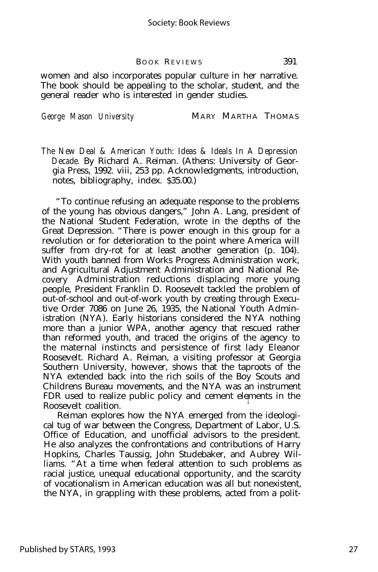women and also incorporates popular culture in her narrative. The book should be appealing to the scholar, student, and the general reader who is interested in gender studies.

*George Mason University* MARY MARTHA THOMAS

*The New Deal & American Youth: Ideas & Ideals In A Depression Decade.* By Richard A. Reiman. (Athens: University of Georgia Press, 1992. viii, 253 pp. Acknowledgments, introduction, notes, bibliography, index. \$35.00.)

"To continue refusing an adequate response to the problems of the young has obvious dangers," John A. Lang, president of the National Student Federation, wrote in the depths of the Great Depression. "There is power enough in this group for a revolution or for deterioration to the point where America will suffer from dry-rot for at least another generation (p. 104). With youth banned from Works Progress Administration work, and Agricultural Adjustment Administration and National Recovery Administration reductions displacing more young people, President Franklin D. Roosevelt tackled the problem of out-of-school and out-of-work youth by creating through Executive Order 7086 on June 26, 1935, the National Youth Administration (NYA). Early historians considered the NYA nothing more than a junior WPA, another agency that rescued rather than reformed youth, and traced the origins of the agency to the maternal instincts and persistence of first lady Eleanor Roosevelt. Richard A. Reiman, a visiting professor at Georgia Southern University, however, shows that the taproots of the NYA extended back into the rich soils of the Boy Scouts and Childrens Bureau movements, and the NYA was an instrument FDR used to realize public policy and cement elements in the Roosevelt coalition.

Reiman explores how the NYA emerged from the ideological tug of war between the Congress, Department of Labor, U.S. Office of Education, and unofficial advisors to the president. He also analyzes the confrontations and contributions of Harry Hopkins, Charles Taussig, John Studebaker, and Aubrey Williams. "At a time when federal attention to such problems as racial justice, unequal educational opportunity, and the scarcity of vocationalism in American education was all but nonexistent, the NYA, in grappling with these problems, acted from a polit-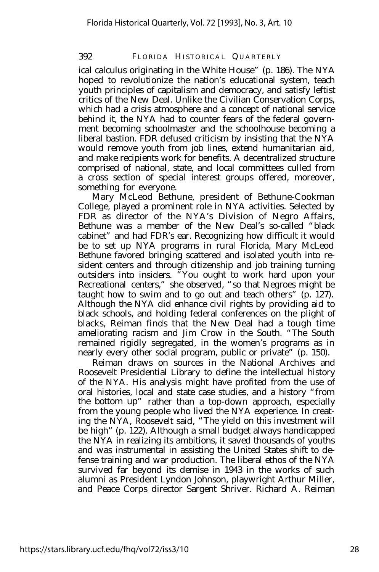ical calculus originating in the White House" (p. 186). The NYA hoped to revolutionize the nation's educational system, teach youth principles of capitalism and democracy, and satisfy leftist critics of the New Deal. Unlike the Civilian Conservation Corps, which had a crisis atmosphere and a concept of national service behind it, the NYA had to counter fears of the federal government becoming schoolmaster and the schoolhouse becoming a liberal bastion. FDR defused criticism by insisting that the NYA would remove youth from job lines, extend humanitarian aid, and make recipients work for benefits. A decentralized structure comprised of national, state, and local committees culled from a cross section of special interest groups offered, moreover, something for everyone.

Mary McLeod Bethune, president of Bethune-Cookman College, played a prominent role in NYA activities. Selected by FDR as director of the NYA's Division of Negro Affairs, Bethune was a member of the New Deal's so-called "black cabinet" and had FDR's ear. Recognizing how difficult it would be to set up NYA programs in rural Florida, Mary McLeod Bethune favored bringing scattered and isolated youth into resident centers and through citizenship and job training turning outsiders into insiders. "You ought to work hard upon your Recreational centers," she observed, "so that Negroes might be taught how to swim and to go out and teach others" (p. 127). Although the NYA did enhance civil rights by providing aid to black schools, and holding federal conferences on the plight of blacks, Reiman finds that the New Deal had a tough time ameliorating racism and Jim Crow in the South. "The South remained rigidly segregated, in the women's programs as in nearly every other social program, public or private" (p. 150).

Reiman draws on sources in the National Archives and Roosevelt Presidential Library to define the intellectual history of the NYA. His analysis might have profited from the use of oral histories, local and state case studies, and a history "from the bottom up" rather than a top-down approach, especially from the young people who lived the NYA experience. In creating the NYA, Roosevelt said, "The yield on this investment will be high" (p. 122). Although a small budget always handicapped the NYA in realizing its ambitions, it saved thousands of youths and was instrumental in assisting the United States shift to defense training and war production. The liberal ethos of the NYA survived far beyond its demise in 1943 in the works of such alumni as President Lyndon Johnson, playwright Arthur Miller, and Peace Corps director Sargent Shriver. Richard A. Reiman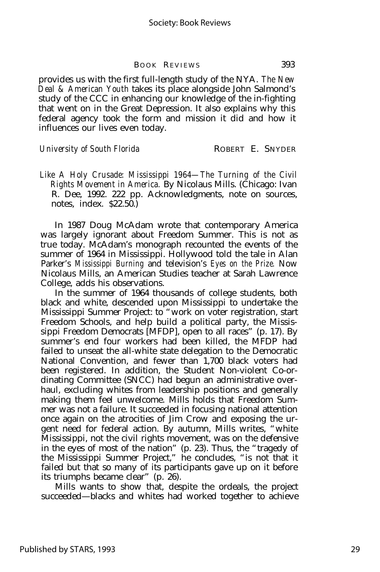provides us with the first full-length study of the NYA. *The New Deal & American Youth* takes its place alongside John Salmond's study of the CCC in enhancing our knowledge of the in-fighting that went on in the Great Depression. It also explains why this federal agency took the form and mission it did and how it influences our lives even today.

*University of South Florida* ROBERT E. SNYDER

*Like A Holy Crusade: Mississippi 1964— The Turning of the Civil Rights Movement in America.* By Nicolaus Mills. (Chicago: Ivan R. Dee, 1992. 222 pp. Acknowledgments, note on sources, notes, index. \$22.50.)

In 1987 Doug McAdam wrote that contemporary America was largely ignorant about Freedom Summer. This is not as true today. McAdam's monograph recounted the events of the summer of 1964 in Mississippi. Hollywood told the tale in Alan Parker's *Mississippi Burning* and television's *Eyes on the Prize.* Now Nicolaus Mills, an American Studies teacher at Sarah Lawrence College, adds his observations.

In the summer of 1964 thousands of college students, both black and white, descended upon Mississippi to undertake the Mississippi Summer Project: to "work on voter registration, start Freedom Schools, and help build a political party, the Mississippi Freedom Democrats [MFDP], open to all races" (p. 17). By summer's end four workers had been killed, the MFDP had failed to unseat the all-white state delegation to the Democratic National Convention, and fewer than 1,700 black voters had been registered. In addition, the Student Non-violent Co-ordinating Committee (SNCC) had begun an administrative overhaul, excluding whites from leadership positions and generally making them feel unwelcome. Mills holds that Freedom Summer was not a failure. It succeeded in focusing national attention once again on the atrocities of Jim Crow and exposing the urgent need for federal action. By autumn, Mills writes, "white Mississippi, not the civil rights movement, was on the defensive in the eyes of most of the nation" (p. 23). Thus, the "tragedy of the Mississippi Summer Project," he concludes, "is not that it failed but that so many of its participants gave up on it before its triumphs became clear" (p. 26).

Mills wants to show that, despite the ordeals, the project succeeded— blacks and whites had worked together to achieve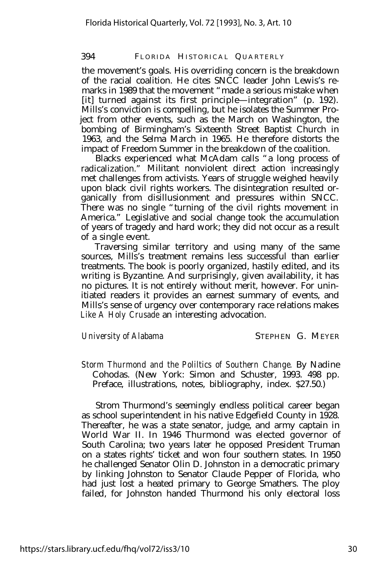the movement's goals. His overriding concern is the breakdown of the racial coalition. He cites SNCC leader John Lewis's remarks in 1989 that the movement "made a serious mistake when [it] turned against its first principle— integration" (p. 192). Mills's conviction is compelling, but he isolates the Summer Project from other events, such as the March on Washington, the bombing of Birmingham's Sixteenth Street Baptist Church in 1963, and the Selma March in 1965. He therefore distorts the impact of Freedom Summer in the breakdown of the coalition.

Blacks experienced what McAdam calls "a long process of radicalization." Militant nonviolent direct action increasingly met challenges from activists. Years of struggle weighed heavily upon black civil rights workers. The disintegration resulted organically from disillusionment and pressures within SNCC. There was no single "turning of the civil rights movement in America." Legislative and social change took the accumulation of years of tragedy and hard work; they did not occur as a result of a single event.

Traversing similar territory and using many of the same sources, Mills's treatment remains less successful than earlier treatments. The book is poorly organized, hastily edited, and its writing is Byzantine. And surprisingly, given availability, it has no pictures. It is not entirely without merit, however. For uninitiated readers it provides an earnest summary of events, and Mills's sense of urgency over contemporary race relations makes *Like A Holy Crusade* an interesting advocation.

*University of Alabama* STEPHEN G. MEYER

*Storm Thurmond and the Poliltics of Southern Change.* By Nadine Cohodas. (New York: Simon and Schuster, 1993. 498 pp. Preface, illustrations, notes, bibliography, index. \$27.50.)

Strom Thurmond's seemingly endless political career began as school superintendent in his native Edgefield County in 1928. Thereafter, he was a state senator, judge, and army captain in World War II. In 1946 Thurmond was elected governor of South Carolina; two years later he opposed President Truman on a states rights' ticket and won four southern states. In 1950 he challenged Senator Olin D. Johnston in a democratic primary by linking Johnston to Senator Claude Pepper of Florida, who had just lost a heated primary to George Smathers. The ploy failed, for Johnston handed Thurmond his only electoral loss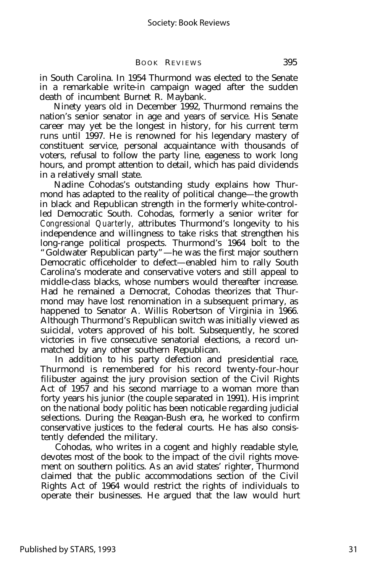in South Carolina. In 1954 Thurmond was elected to the Senate in a remarkable write-in campaign waged after the sudden death of incumbent Burnet R. Maybank.

Ninety years old in December 1992, Thurmond remains the nation's senior senator in age and years of service. His Senate career may yet be the longest in history, for his current term runs until 1997. He is renowned for his legendary mastery of constituent service, personal acquaintance with thousands of voters, refusal to follow the party line, eageness to work long hours, and prompt attention to detail, which has paid dividends in a relatively small state.

Nadine Cohodas's outstanding study explains how Thurmond has adapted to the reality of political change— the growth in black and Republican strength in the formerly white-controlled Democratic South. Cohodas, formerly a senior writer for *Congressional Quarterly,* attributes Thurmond's longevity to his independence and willingness to take risks that strengthen his long-range political prospects. Thurmond's 1964 bolt to the "Goldwater Republican party"— he was the first major southern Democratic officeholder to defect— enabled him to rally South Carolina's moderate and conservative voters and still appeal to middle-class blacks, whose numbers would thereafter increase. Had he remained a Democrat, Cohodas theorizes that Thurmond may have lost renomination in a subsequent primary, as happened to Senator A. Willis Robertson of Virginia in 1966. Although Thurmond's Republican switch was initially viewed as suicidal, voters approved of his bolt. Subsequently, he scored victories in five consecutive senatorial elections, a record unmatched by any other southern Republican.

In addition to his party defection and presidential race, Thurmond is remembered for his record twenty-four-hour filibuster against the jury provision section of the Civil Rights Act of 1957 and his second marriage to a woman more than forty years his junior (the couple separated in 1991). His imprint on the national body politic has been noticable regarding judicial selections. During the Reagan-Bush era, he worked to confirm conservative justices to the federal courts. He has also consistently defended the military.

Cohodas, who writes in a cogent and highly readable style, devotes most of the book to the impact of the civil rights movement on southern politics. As an avid states' righter, Thurmond claimed that the public accommodations section of the Civil Rights Act of 1964 would restrict the rights of individuals to operate their businesses. He argued that the law would hurt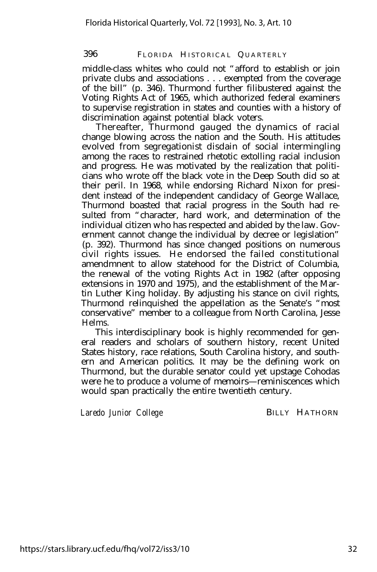middle-class whites who could not "afford to establish or join private clubs and associations . . . exempted from the coverage of the bill" (p. 346). Thurmond further filibustered against the Voting Rights Act of 1965, which authorized federal examiners to supervise registration in states and counties with a history of discrimination against potential black voters.

Thereafter, Thurmond gauged the dynamics of racial change blowing across the nation and the South. His attitudes evolved from segregationist disdain of social intermingling among the races to restrained rhetotic extolling racial inclusion and progress. He was motivated by the realization that politicians who wrote off the black vote in the Deep South did so at their peril. In 1968, while endorsing Richard Nixon for president instead of the independent candidacy of George Wallace, Thurmond boasted that racial progress in the South had resulted from "character, hard work, and determination of the individual citizen who has respected and abided by the law. Government cannot change the individual by decree or legislation" (p. 392). Thurmond has since changed positions on numerous civil rights issues. He endorsed the failed constitutional amendmnent to allow statehood for the District of Columbia, the renewal of the voting Rights Act in 1982 (after opposing extensions in 1970 and 1975), and the establishment of the Martin Luther King holiday. By adjusting his stance on civil rights, Thurmond relinquished the appellation as the Senate's "most conservative" member to a colleague from North Carolina, Jesse Helms.

This interdisciplinary book is highly recommended for general readers and scholars of southern history, recent United States history, race relations, South Carolina history, and southern and American politics. It may be the defining work on Thurmond, but the durable senator could yet upstage Cohodas were he to produce a volume of memoirs— reminiscences which would span practically the entire twentieth century.

Laredo Junior College BILLY HATHORN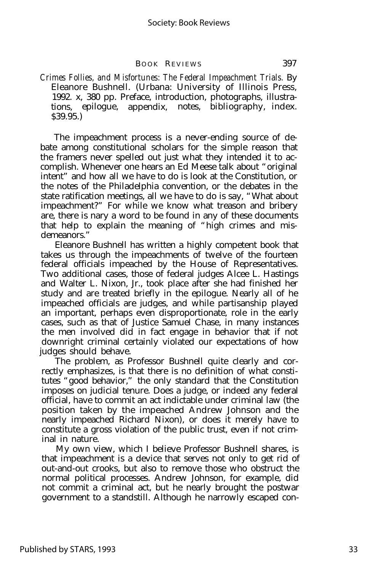*Crimes Follies, and Misfortunes: The Federal Impeachment Trials.* By Eleanore Bushnell. (Urbana: University of Illinois Press, 1992. x, 380 pp. Preface, introduction, photographs, illustrations, epilogue, appendix, notes, bibliography, index. \$39.95.)

The impeachment process is a never-ending source of debate among constitutional scholars for the simple reason that the framers never spelled out just what they intended it to accomplish. Whenever one hears an Ed Meese talk about "original intent" and how all we have to do is look at the Constitution, or the notes of the Philadelphia convention, or the debates in the state ratification meetings, all we have to do is say, "What about impeachment?" For while we know what treason and bribery are, there is nary a word to be found in any of these documents that help to explain the meaning of "high crimes and misdemeanors."

Eleanore Bushnell has written a highly competent book that takes us through the impeachments of twelve of the fourteen federal officials impeached by the House of Representatives. Two additional cases, those of federal judges Alcee L. Hastings and Walter L. Nixon, Jr., took place after she had finished her study and are treated briefly in the epilogue. Nearly all of he impeached officials are judges, and while partisanship played an important, perhaps even disproportionate, role in the early cases, such as that of Justice Samuel Chase, in many instances the men involved did in fact engage in behavior that if not downright criminal certainly violated our expectations of how judges should behave.

The problem, as Professor Bushnell quite clearly and correctly emphasizes, is that there is no definition of what constitutes "good behavior," the only standard that the Constitution imposes on judicial tenure. Does a judge, or indeed any federal official, have to commit an act indictable under criminal law (the position taken by the impeached Andrew Johnson and the nearly impeached Richard Nixon), or does it merely have to constitute a gross violation of the public trust, even if not criminal in nature.

My own view, which I believe Professor Bushnell shares, is that impeachment is a device that serves not only to get rid of out-and-out crooks, but also to remove those who obstruct the normal political processes. Andrew Johnson, for example, did not commit a criminal act, but he nearly brought the postwar government to a standstill. Although he narrowly escaped con-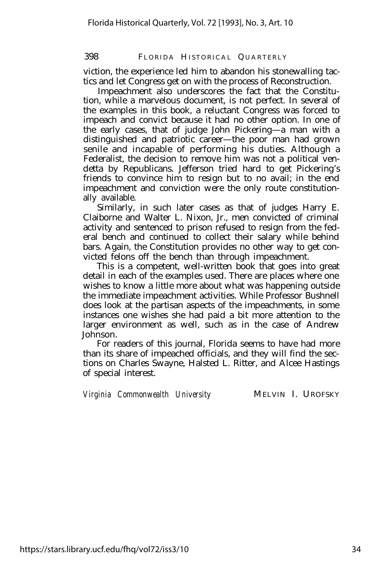viction, the experience led him to abandon his stonewalling tactics and let Congress get on with the process of Reconstruction.

Impeachment also underscores the fact that the Constitution, while a marvelous document, is not perfect. In several of the examples in this book, a reluctant Congress was forced to impeach and convict because it had no other option. In one of the early cases, that of judge John Pickering— a man with a distinguished and patriotic career— the poor man had grown senile and incapable of performing his duties. Although a Federalist, the decision to remove him was not a political vendetta by Republicans. Jefferson tried hard to get Pickering's friends to convince him to resign but to no avail; in the end impeachment and conviction were the only route constitutionally available.

Similarly, in such later cases as that of judges Harry E. Claiborne and Walter L. Nixon, Jr., men convicted of criminal activity and sentenced to prison refused to resign from the federal bench and continued to collect their salary while behind bars. Again, the Constitution provides no other way to get convicted felons off the bench than through impeachment.

This is a competent, well-written book that goes into great detail in each of the examples used. There are places where one wishes to know a little more about what was happening outside the immediate impeachment activities. While Professor Bushnell does look at the partisan aspects of the impeachments, in some instances one wishes she had paid a bit more attention to the larger environment as well, such as in the case of Andrew Johnson.

For readers of this journal, Florida seems to have had more than its share of impeached officials, and they will find the sections on Charles Swayne, Halsted L. Ritter, and Alcee Hastings of special interest.

*Virginia Commonwealth University* MELVIN I. UROFSKY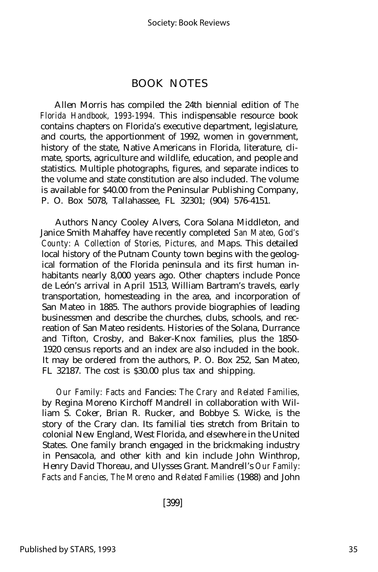#### BOOK NOTES

Allen Morris has compiled the 24th biennial edition of *The Florida Handbook, 1993-1994.* This indispensable resource book contains chapters on Florida's executive department, legislature, and courts, the apportionment of 1992, women in government, history of the state, Native Americans in Florida, literature, climate, sports, agriculture and wildlife, education, and people and statistics. Multiple photographs, figures, and separate indices to the volume and state constitution are also included. The volume is available for \$40.00 from the Peninsular Publishing Company, P. O. Box 5078, Tallahassee, FL 32301; (904) 576-4151.

Authors Nancy Cooley Alvers, Cora Solana Middleton, and Janice Smith Mahaffey have recently completed *San Mateo, God's County: A Collection of Stories, Pictures, and* Maps. This detailed local history of the Putnam County town begins with the geological formation of the Florida peninsula and its first human inhabitants nearly 8,000 years ago. Other chapters include Ponce de León's arrival in April 1513, William Bartram's travels, early transportation, homesteading in the area, and incorporation of San Mateo in 1885. The authors provide biographies of leading businessmen and describe the churches, clubs, schools, and recreation of San Mateo residents. Histories of the Solana, Durrance and Tifton, Crosby, and Baker-Knox families, plus the 1850- 1920 census reports and an index are also included in the book. It may be ordered from the authors, P. O. Box 252, San Mateo, FL 32187. The cost is \$30.00 plus tax and shipping.

*Our Family: Facts and* Fancies: *The Crary and Related Families,* by Regina Moreno Kirchoff Mandrell in collaboration with William S. Coker, Brian R. Rucker, and Bobbye S. Wicke, is the story of the Crary clan. Its familial ties stretch from Britain to colonial New England, West Florida, and elsewhere in the United States. One family branch engaged in the brickmaking industry in Pensacola, and other kith and kin include John Winthrop, Henry David Thoreau, and Ulysses Grant. Mandrell's *Our Family: Facts and Fancies, The Moreno* and *Related Families* (1988) and John

[399]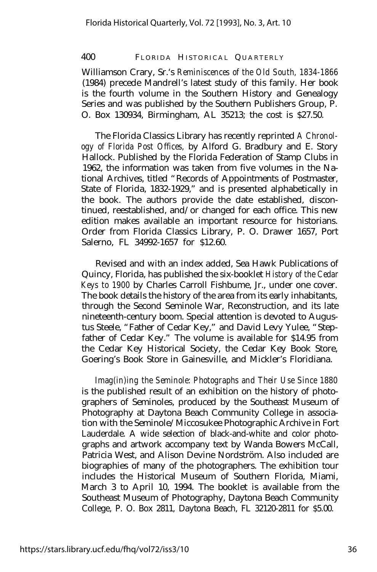Williamson Crary, Sr.'s *Reminiscences of the Old South, 1834-1866* (1984) precede Mandrell's latest study of this family. Her book is the fourth volume in the Southern History and Genealogy Series and was published by the Southern Publishers Group, P. O. Box 130934, Birmingham, AL 35213; the cost is \$27.50.

The Florida Classics Library has recently reprinted *A Chronology of Florida Post Offices,* by Alford G. Bradbury and E. Story Hallock. Published by the Florida Federation of Stamp Clubs in 1962, the information was taken from five volumes in the National Archives, titled "Records of Appointments of Postmaster, State of Florida, 1832-1929," and is presented alphabetically in the book. The authors provide the date established, discontinued, reestablished, and/or changed for each office. This new edition makes available an important resource for historians. Order from Florida Classics Library, P. O. Drawer 1657, Port Salerno, FL 34992-1657 for \$12.60.

Revised and with an index added, Sea Hawk Publications of Quincy, Florida, has published the six-booklet *History of the Cedar Keys to 1900* by Charles Carroll Fishbume, Jr., under one cover. The book details the history of the area from its early inhabitants, through the Second Seminole War, Reconstruction, and its late nineteenth-century boom. Special attention is devoted to Augustus Steele, "Father of Cedar Key," and David Levy Yulee, "Stepfather of Cedar Key." The volume is available for \$14.95 from the Cedar Key Historical Society, the Cedar Key Book Store, Goering's Book Store in Gainesville, and Mickler's Floridiana.

*Imag(in)ing the Seminole: Photographs and Their Use Since 1880* is the published result of an exhibition on the history of photographers of Seminoles, produced by the Southeast Museum of Photography at Daytona Beach Community College in association with the Seminole/Miccosukee Photographic Archive in Fort Lauderdale. A wide selection of black-and-white and color photographs and artwork accompany text by Wanda Bowers McCall, Patricia West, and Alison Devine Nordström. Also included are biographies of many of the photographers. The exhibition tour includes the Historical Museum of Southern Florida, Miami, March 3 to April 10, 1994. The booklet is available from the Southeast Museum of Photography, Daytona Beach Community College, P. O. Box 2811, Daytona Beach, FL 32120-2811 for \$5.00.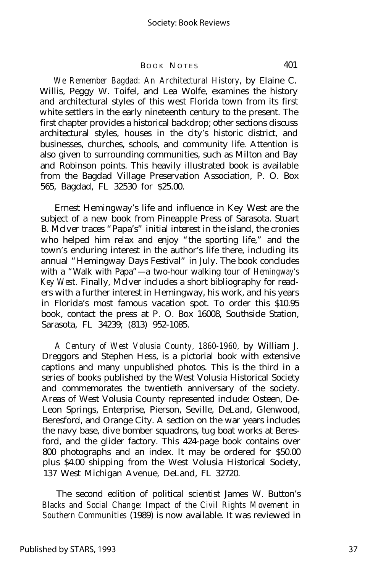#### BOOK NOTES 401

*We Remember Bagdad: An Architectural History,* by Elaine C. Willis, Peggy W. Toifel, and Lea Wolfe, examines the history and architectural styles of this west Florida town from its first white settlers in the early nineteenth century to the present. The first chapter provides a historical backdrop; other sections discuss architectural styles, houses in the city's historic district, and businesses, churches, schools, and community life. Attention is also given to surrounding communities, such as Milton and Bay and Robinson points. This heavily illustrated book is available from the Bagdad Village Preservation Association, P. O. Box 565, Bagdad, FL 32530 for \$25.00.

Ernest Hemingway's life and influence in Key West are the subject of a new book from Pineapple Press of Sarasota. Stuart B. McIver traces "Papa's" initial interest in the island, the cronies who helped him relax and enjoy "the sporting life," and the town's enduring interest in the author's life there, including its annual "Hemingway Days Festival" in July. The book concludes with a "Walk with Papa"— a two-hour walking tour of *Hemingway's Key West.* Finally, McIver includes a short bibliography for readers with a further interest in Hemingway, his work, and his years in Florida's most famous vacation spot. To order this \$10.95 book, contact the press at P. O. Box 16008, Southside Station, Sarasota, FL 34239; (813) 952-1085.

*A Century of West Volusia County, 1860-1960,* by William J. Dreggors and Stephen Hess, is a pictorial book with extensive captions and many unpublished photos. This is the third in a series of books published by the West Volusia Historical Society and commemorates the twentieth anniversary of the society. Areas of West Volusia County represented include: Osteen, De-Leon Springs, Enterprise, Pierson, Seville, DeLand, Glenwood, Beresford, and Orange City. A section on the war years includes the navy base, dive bomber squadrons, tug boat works at Beresford, and the glider factory. This 424-page book contains over 800 photographs and an index. It may be ordered for \$50.00 plus \$4.00 shipping from the West Volusia Historical Society, 137 West Michigan Avenue, DeLand, FL 32720.

The second edition of political scientist James W. Button's *Blacks and Social Change: Impact of the Civil Rights Movement in Southern Communities* (1989) is now available. It was reviewed in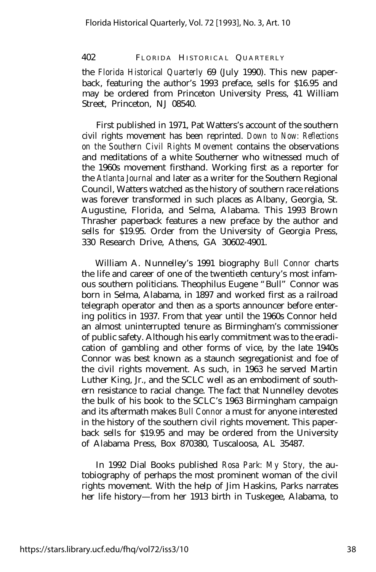the *Florida Historical Quarterly* 69 (July 1990). This new paperback, featuring the author's 1993 preface, sells for \$16.95 and may be ordered from Princeton University Press, 41 William Street, Princeton, NJ 08540.

First published in 1971, Pat Watters's account of the southern civil rights movement has been reprinted. *Down to Now: Reflections on the Southern Civil Rights Movement* contains the observations and meditations of a white Southerner who witnessed much of the 1960s movement firsthand. Working first as a reporter for the *Atlanta Journal* and later as a writer for the Southern Regional Council, Watters watched as the history of southern race relations was forever transformed in such places as Albany, Georgia, St. Augustine, Florida, and Selma, Alabama. This 1993 Brown Thrasher paperback features a new preface by the author and sells for \$19.95. Order from the University of Georgia Press, 330 Research Drive, Athens, GA 30602-4901.

William A. Nunnelley's 1991 biography *Bull Connor* charts the life and career of one of the twentieth century's most infamous southern politicians. Theophilus Eugene "Bull" Connor was born in Selma, Alabama, in 1897 and worked first as a railroad telegraph operator and then as a sports announcer before entering politics in 1937. From that year until the 1960s Connor held an almost uninterrupted tenure as Birmingham's commissioner of public safety. Although his early commitment was to the eradication of gambling and other forms of vice, by the late 1940s Connor was best known as a staunch segregationist and foe of the civil rights movement. As such, in 1963 he served Martin Luther King, Jr., and the SCLC well as an embodiment of southern resistance to racial change. The fact that Nunnelley devotes the bulk of his book to the SCLC's 1963 Birmingham campaign and its aftermath makes *Bull Connor* a must for anyone interested in the history of the southern civil rights movement. This paperback sells for \$19.95 and may be ordered from the University of Alabama Press, Box 870380, Tuscaloosa, AL 35487.

In 1992 Dial Books published *Rosa Park: My Story,* the autobiography of perhaps the most prominent woman of the civil rights movement. With the help of Jim Haskins, Parks narrates her life history— from her 1913 birth in Tuskegee, Alabama, to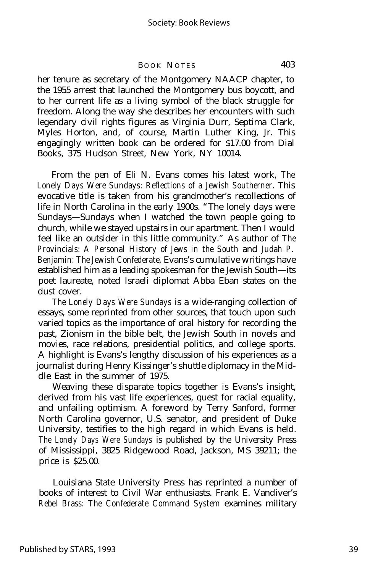#### $B_{\Omega \Omega K}$  Notes  $403$

her tenure as secretary of the Montgomery NAACP chapter, to the 1955 arrest that launched the Montgomery bus boycott, and to her current life as a living symbol of the black struggle for freedom. Along the way she describes her encounters with such legendary civil rights figures as Virginia Durr, Septima Clark, Myles Horton, and, of course, Martin Luther King, Jr. This engagingly written book can be ordered for \$17.00 from Dial Books, 375 Hudson Street, New York, NY 10014.

From the pen of Eli N. Evans comes his latest work, *The Lonely Days Were Sundays: Reflections of a Jewish Southerner.* This evocative title is taken from his grandmother's recollections of life in North Carolina in the early 1900s. "The lonely days were Sundays— Sundays when I watched the town people going to church, while we stayed upstairs in our apartment. Then I would feel like an outsider in this little community." As author of *The Provincials: A Personal History of Jews in the South* and *Judah P. Benjamin: The Jewish Confederate,* Evans's cumulative writings have established him as a leading spokesman for the Jewish South— its poet laureate, noted Israeli diplomat Abba Eban states on the dust cover.

*The Lonely Days Were Sundays* is a wide-ranging collection of essays, some reprinted from other sources, that touch upon such varied topics as the importance of oral history for recording the past, Zionism in the bible belt, the Jewish South in novels and movies, race relations, presidential politics, and college sports. A highlight is Evans's lengthy discussion of his experiences as a journalist during Henry Kissinger's shuttle diplomacy in the Middle East in the summer of 1975.

Weaving these disparate topics together is Evans's insight, derived from his vast life experiences, quest for racial equality, and unfailing optimism. A foreword by Terry Sanford, former North Carolina governor, U.S. senator, and president of Duke University, testifies to the high regard in which Evans is held. *The Lonely Days Were Sundays* is published by the University Press of Mississippi, 3825 Ridgewood Road, Jackson, MS 39211; the price is \$25.00.

Louisiana State University Press has reprinted a number of books of interest to Civil War enthusiasts. Frank E. Vandiver's *Rebel Brass: The Confederate Command System* examines military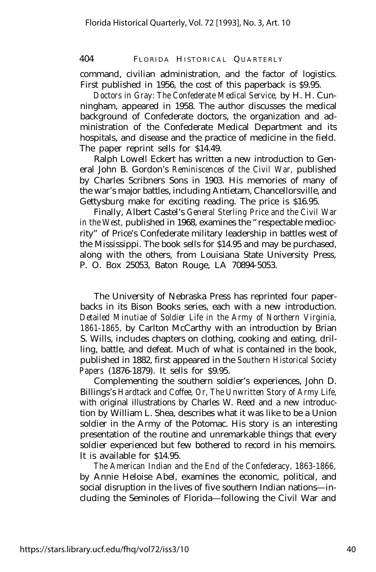command, civilian administration, and the factor of logistics. First published in 1956, the cost of this paperback is \$9.95.

*Doctors in Gray: The Confederate Medical Service,* by H. H. Cunningham, appeared in 1958. The author discusses the medical background of Confederate doctors, the organization and administration of the Confederate Medical Department and its hospitals, and disease and the practice of medicine in the field. The paper reprint sells for \$14.49.

Ralph Lowell Eckert has written a new introduction to General John B. Gordon's *Reminiscences of the Civil War,* published by Charles Scribners Sons in 1903. His memories of many of the war's major battles, including Antietam, Chancellorsville, and Gettysburg make for exciting reading. The price is \$16.95.

Finally, Albert Castel's *General Sterling Price and the Civil War in the West,* published in 1968, examines the "respectable mediocrity" of Price's Confederate military leadership in battles west of the Mississippi. The book sells for \$14.95 and may be purchased, along with the others, from Louisiana State University Press, P. O. Box 25053, Baton Rouge, LA 70894-5053.

The University of Nebraska Press has reprinted four paperbacks in its Bison Books series, each with a new introduction. *Detailed Minutiae of Soldier Life in the Army of Northern Virginia, 1861-1865,* by Carlton McCarthy with an introduction by Brian S. Wills, includes chapters on clothing, cooking and eating, drilling, battle, and defeat. Much of what is contained in the book, published in 1882, first appeared in the *Southern Historical Society Papers* (1876-1879). It sells for \$9.95.

Complementing the southern soldier's experiences, John D. Billings's *Hardtack and Coffee, Or, The Unwritten Story of Army Life,* with original illustrations by Charles W. Reed and a new introduction by William L. Shea, describes what it was like to be a Union soldier in the Army of the Potomac. His story is an interesting presentation of the routine and unremarkable things that every soldier experienced but few bothered to record in his memoirs. It is available for \$14.95.

*The American Indian and the End of the Confederacy, 1863-1866,* by Annie Heloise Abel, examines the economic, political, and social disruption in the lives of five southern Indian nations— including the Seminoles of Florida— following the Civil War and